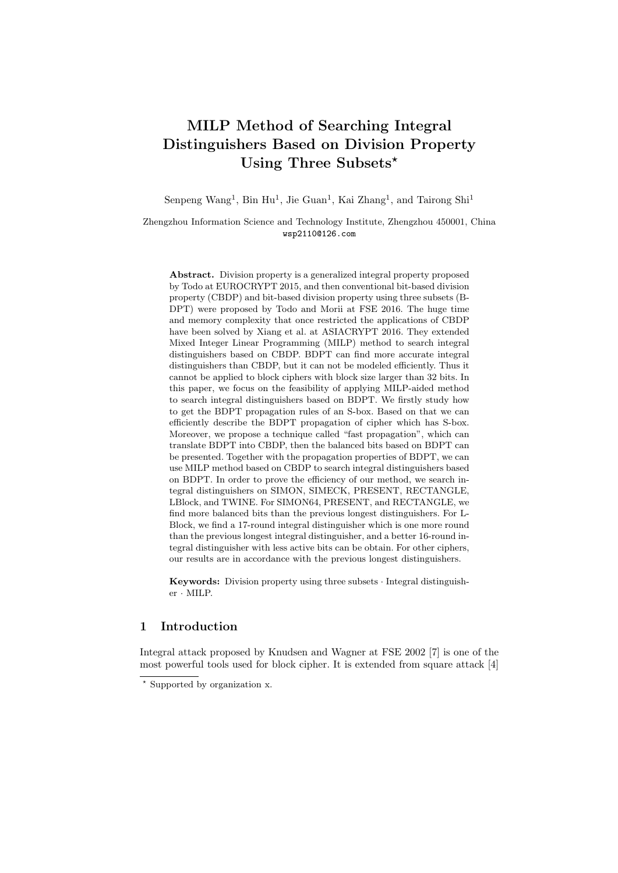# **MILP Method of Searching Integral Distinguishers Based on Division Property Using Three Subsets***<sup>⋆</sup>*

Senpeng Wang<sup>1</sup>, Bin Hu<sup>1</sup>, Jie Guan<sup>1</sup>, Kai Zhang<sup>1</sup>, and Tairong Shi<sup>1</sup>

Zhengzhou Information Science and Technology Institute, Zhengzhou 450001, China wsp2110@126.com

**Abstract.** Division property is a generalized integral property proposed by Todo at EUROCRYPT 2015, and then conventional bit-based division property (CBDP) and bit-based division property using three subsets (B-DPT) were proposed by Todo and Morii at FSE 2016. The huge time and memory complexity that once restricted the applications of CBDP have been solved by Xiang et al. at ASIACRYPT 2016. They extended Mixed Integer Linear Programming (MILP) method to search integral distinguishers based on CBDP. BDPT can find more accurate integral distinguishers than CBDP, but it can not be modeled efficiently. Thus it cannot be applied to block ciphers with block size larger than 32 bits. In this paper, we focus on the feasibility of applying MILP-aided method to search integral distinguishers based on BDPT. We firstly study how to get the BDPT propagation rules of an S-box. Based on that we can efficiently describe the BDPT propagation of cipher which has S-box. Moreover, we propose a technique called "fast propagation", which can translate BDPT into CBDP, then the balanced bits based on BDPT can be presented. Together with the propagation properties of BDPT, we can use MILP method based on CBDP to search integral distinguishers based on BDPT. In order to prove the efficiency of our method, we search integral distinguishers on SIMON, SIMECK, PRESENT, RECTANGLE, LBlock, and TWINE. For SIMON64, PRESENT, and RECTANGLE, we find more balanced bits than the previous longest distinguishers. For L-Block, we find a 17-round integral distinguisher which is one more round than the previous longest integral distinguisher, and a better 16-round integral distinguisher with less active bits can be obtain. For other ciphers, our results are in accordance with the previous longest distinguishers.

**Keywords:** Division property using three subsets *·* Integral distinguisher *·* MILP.

# **1 Introduction**

Integral attack proposed by Knudsen and Wagner at FSE 2002 [7] is one of the most powerful tools used for block cipher. It is extended from square attack [4]

*<sup>⋆</sup>* Supported by organization x.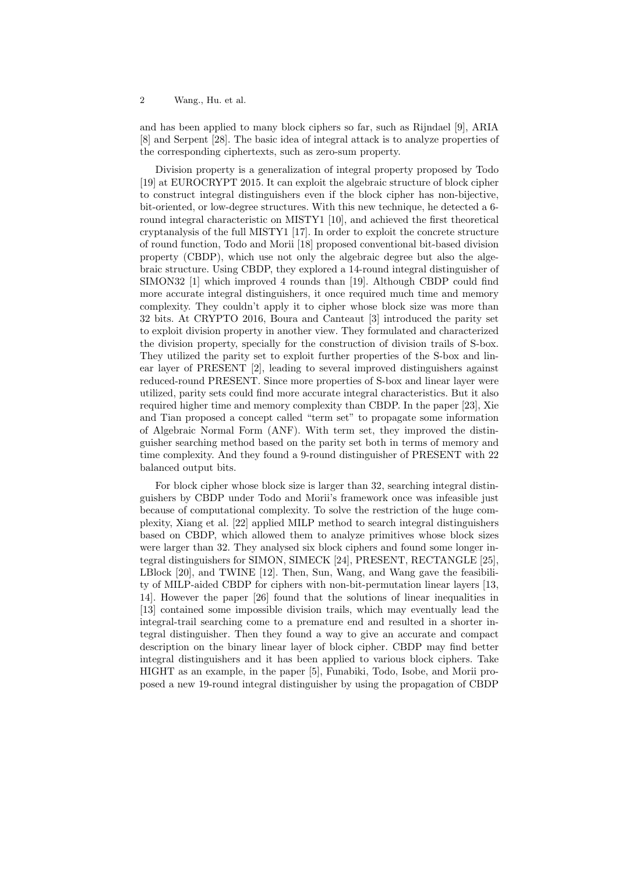and has been applied to many block ciphers so far, such as Rijndael [9], ARIA [8] and Serpent [28]. The basic idea of integral attack is to analyze properties of the corresponding ciphertexts, such as zero-sum property.

Division property is a generalization of integral property proposed by Todo [19] at EUROCRYPT 2015. It can exploit the algebraic structure of block cipher to construct integral distinguishers even if the block cipher has non-bijective, bit-oriented, or low-degree structures. With this new technique, he detected a 6 round integral characteristic on MISTY1 [10], and achieved the first theoretical cryptanalysis of the full MISTY1 [17]. In order to exploit the concrete structure of round function, Todo and Morii [18] proposed conventional bit-based division property (CBDP), which use not only the algebraic degree but also the algebraic structure. Using CBDP, they explored a 14-round integral distinguisher of SIMON32 [1] which improved 4 rounds than [19]. Although CBDP could find more accurate integral distinguishers, it once required much time and memory complexity. They couldn't apply it to cipher whose block size was more than 32 bits. At CRYPTO 2016, Boura and Canteaut [3] introduced the parity set to exploit division property in another view. They formulated and characterized the division property, specially for the construction of division trails of S-box. They utilized the parity set to exploit further properties of the S-box and linear layer of PRESENT [2], leading to several improved distinguishers against reduced-round PRESENT. Since more properties of S-box and linear layer were utilized, parity sets could find more accurate integral characteristics. But it also required higher time and memory complexity than CBDP. In the paper [23], Xie and Tian proposed a concept called "term set" to propagate some information of Algebraic Normal Form (ANF). With term set, they improved the distinguisher searching method based on the parity set both in terms of memory and time complexity. And they found a 9-round distinguisher of PRESENT with 22 balanced output bits.

For block cipher whose block size is larger than 32, searching integral distinguishers by CBDP under Todo and Morii's framework once was infeasible just because of computational complexity. To solve the restriction of the huge complexity, Xiang et al. [22] applied MILP method to search integral distinguishers based on CBDP, which allowed them to analyze primitives whose block sizes were larger than 32. They analysed six block ciphers and found some longer integral distinguishers for SIMON, SIMECK [24], PRESENT, RECTANGLE [25], LBlock [20], and TWINE [12]. Then, Sun, Wang, and Wang gave the feasibility of MILP-aided CBDP for ciphers with non-bit-permutation linear layers [13, 14]. However the paper [26] found that the solutions of linear inequalities in [13] contained some impossible division trails, which may eventually lead the integral-trail searching come to a premature end and resulted in a shorter integral distinguisher. Then they found a way to give an accurate and compact description on the binary linear layer of block cipher. CBDP may find better integral distinguishers and it has been applied to various block ciphers. Take HIGHT as an example, in the paper [5], Funabiki, Todo, Isobe, and Morii proposed a new 19-round integral distinguisher by using the propagation of CBDP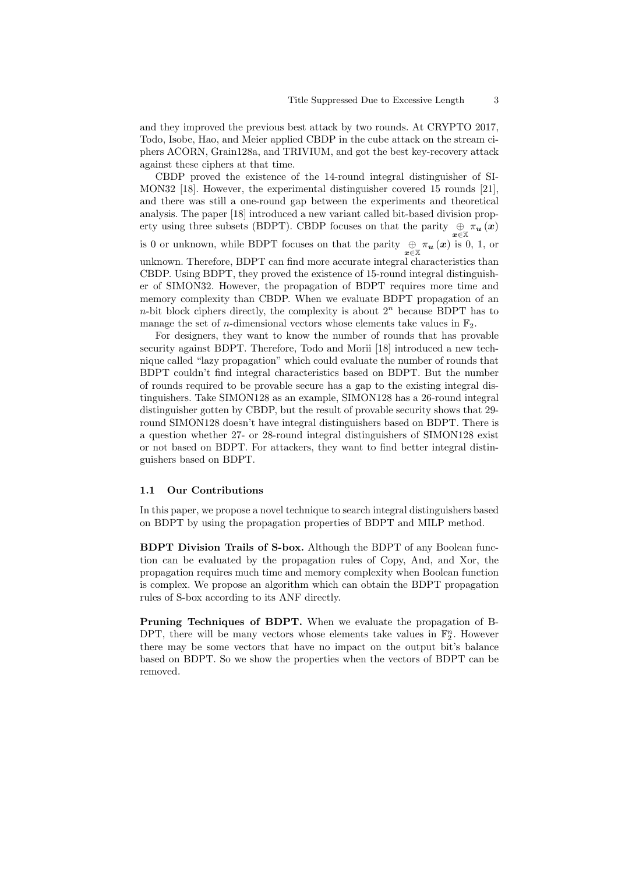and they improved the previous best attack by two rounds. At CRYPTO 2017, Todo, Isobe, Hao, and Meier applied CBDP in the cube attack on the stream ciphers ACORN, Grain128a, and TRIVIUM, and got the best key-recovery attack against these ciphers at that time.

CBDP proved the existence of the 14-round integral distinguisher of SI-MON32 [18]. However, the experimental distinguisher covered 15 rounds [21], and there was still a one-round gap between the experiments and theoretical analysis. The paper [18] introduced a new variant called bit-based division property using three subsets (BDPT). CBDP focuses on that the parity  $\bigoplus_{x \in \mathbb{X}} \pi_u(x)$ is 0 or unknown, while BDPT focuses on that the parity  $\bigoplus_{x \in \mathbb{X}} \pi_u(x)$  is 0, 1, or unknown. Therefore, BDPT can find more accurate integral characteristics than CBDP. Using BDPT, they proved the existence of 15-round integral distinguisher of SIMON32. However, the propagation of BDPT requires more time and memory complexity than CBDP. When we evaluate BDPT propagation of an

*n*-bit block ciphers directly, the complexity is about  $2^n$  because BDPT has to

manage the set of *n*-dimensional vectors whose elements take values in  $\mathbb{F}_2$ . For designers, they want to know the number of rounds that has provable security against BDPT. Therefore, Todo and Morii [18] introduced a new technique called "lazy propagation" which could evaluate the number of rounds that BDPT couldn't find integral characteristics based on BDPT. But the number of rounds required to be provable secure has a gap to the existing integral distinguishers. Take SIMON128 as an example, SIMON128 has a 26-round integral distinguisher gotten by CBDP, but the result of provable security shows that 29 round SIMON128 doesn't have integral distinguishers based on BDPT. There is a question whether 27- or 28-round integral distinguishers of SIMON128 exist or not based on BDPT. For attackers, they want to find better integral distinguishers based on BDPT.

#### **1.1 Our Contributions**

In this paper, we propose a novel technique to search integral distinguishers based on BDPT by using the propagation properties of BDPT and MILP method.

**BDPT Division Trails of S-box.** Although the BDPT of any Boolean function can be evaluated by the propagation rules of Copy, And, and Xor, the propagation requires much time and memory complexity when Boolean function is complex. We propose an algorithm which can obtain the BDPT propagation rules of S-box according to its ANF directly.

**Pruning Techniques of BDPT.** When we evaluate the propagation of B-DPT, there will be many vectors whose elements take values in  $\mathbb{F}_2^n$ . However there may be some vectors that have no impact on the output bit's balance based on BDPT. So we show the properties when the vectors of BDPT can be removed.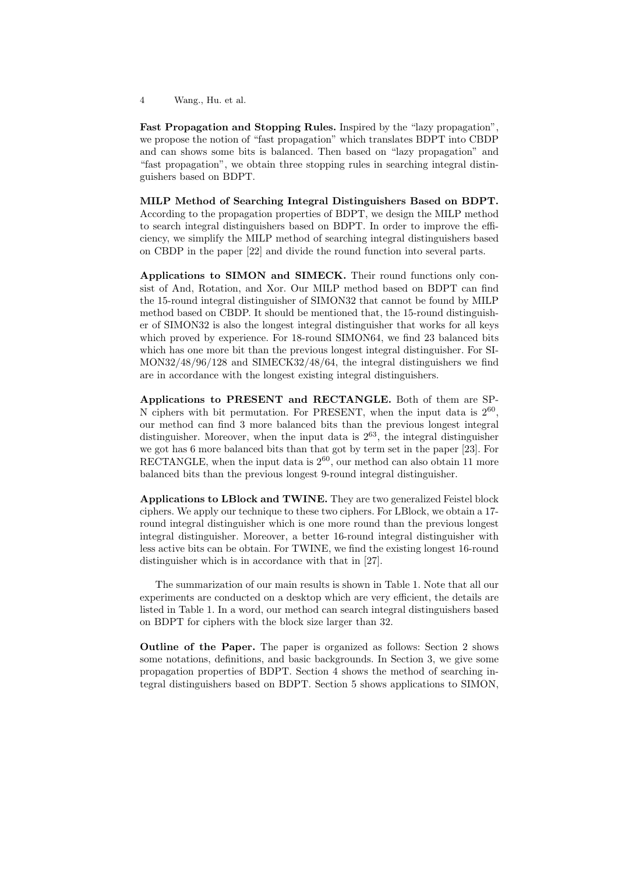**Fast Propagation and Stopping Rules.** Inspired by the "lazy propagation", we propose the notion of "fast propagation" which translates BDPT into CBDP and can shows some bits is balanced. Then based on "lazy propagation" and "fast propagation", we obtain three stopping rules in searching integral distinguishers based on BDPT.

**MILP Method of Searching Integral Distinguishers Based on BDPT.** According to the propagation properties of BDPT, we design the MILP method to search integral distinguishers based on BDPT. In order to improve the efficiency, we simplify the MILP method of searching integral distinguishers based on CBDP in the paper [22] and divide the round function into several parts.

**Applications to SIMON and SIMECK.** Their round functions only consist of And, Rotation, and Xor. Our MILP method based on BDPT can find the 15-round integral distinguisher of SIMON32 that cannot be found by MILP method based on CBDP. It should be mentioned that, the 15-round distinguisher of SIMON32 is also the longest integral distinguisher that works for all keys which proved by experience. For 18-round SIMON64, we find 23 balanced bits which has one more bit than the previous longest integral distinguisher. For SI-MON32/48/96/128 and SIMECK32/48/64, the integral distinguishers we find are in accordance with the longest existing integral distinguishers.

**Applications to PRESENT and RECTANGLE.** Both of them are SP-N ciphers with bit permutation. For PRESENT, when the input data is  $2^{60}$ , our method can find 3 more balanced bits than the previous longest integral distinguisher. Moreover, when the input data is  $2^{63}$ , the integral distinguisher we got has 6 more balanced bits than that got by term set in the paper [23]. For RECTANGLE, when the input data is  $2^{60}$ , our method can also obtain 11 more balanced bits than the previous longest 9-round integral distinguisher.

**Applications to LBlock and TWINE.** They are two generalized Feistel block ciphers. We apply our technique to these two ciphers. For LBlock, we obtain a 17 round integral distinguisher which is one more round than the previous longest integral distinguisher. Moreover, a better 16-round integral distinguisher with less active bits can be obtain. For TWINE, we find the existing longest 16-round distinguisher which is in accordance with that in [27].

The summarization of our main results is shown in Table 1. Note that all our experiments are conducted on a desktop which are very efficient, the details are listed in Table 1. In a word, our method can search integral distinguishers based on BDPT for ciphers with the block size larger than 32.

**Outline of the Paper.** The paper is organized as follows: Section 2 shows some notations, definitions, and basic backgrounds. In Section 3, we give some propagation properties of BDPT. Section 4 shows the method of searching integral distinguishers based on BDPT. Section 5 shows applications to SIMON,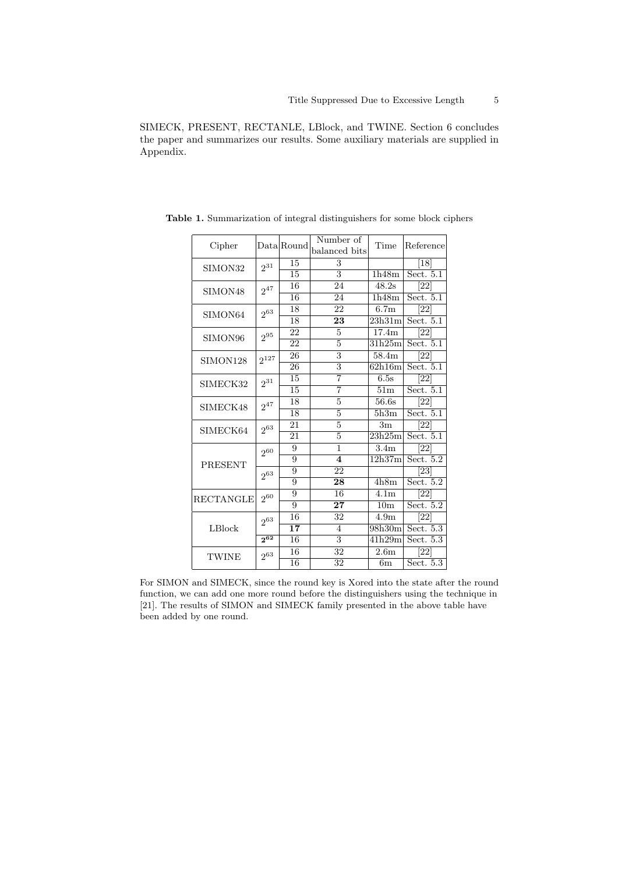SIMECK, PRESENT, RECTANLE, LBlock, and TWINE. Section 6 concludes the paper and summarizes our results. Some auxiliary materials are supplied in Appendix.

| Cipher           |           | Data Round      | Number of                 | Time               | Reference          |  |  |
|------------------|-----------|-----------------|---------------------------|--------------------|--------------------|--|--|
|                  |           |                 | balanced bits             |                    |                    |  |  |
| SIMON32          | $2^{31}$  | 15              | 3                         |                    | [18]               |  |  |
|                  |           | 15              | $\overline{\mathbf{3}}$   | 1h48m              | Sect. $5.1$        |  |  |
| SIMON48          | $2^{47}$  | 16              | 24                        | 48.2s              | [22]               |  |  |
|                  |           | 16              | 24                        | 1h48m              | Sect. 5.1          |  |  |
| SIMON64          | $2^{63}$  | 18              | 22                        | $\overline{6.7}$ m | $\left[ 22\right]$ |  |  |
|                  |           | 18              | 23                        | 23h31m             | Sect. $5.1$        |  |  |
| SIMON96          | $2^{95}$  | 22              | $\overline{5}$            | 17.4m              | [22]               |  |  |
|                  |           | 22              | $\overline{5}$            | 31h25m             | Sect. $5.1$        |  |  |
| SIMON128         | $2^{127}$ | 26              | 3                         | 58.4m              | [22]               |  |  |
|                  |           | 26              | $\overline{3}$            | 62h16m             | Sect. 5.1          |  |  |
| SIMECK32         | $2^{31}$  | 15              | $\overline{7}$            | 6.5s               | [22]               |  |  |
|                  |           | 15              | 7                         | 51m                | Sect. $5.1$        |  |  |
| SIMECK48         | $2^{47}$  | 18              | 5                         | 56.6s              | [22]               |  |  |
|                  |           | 18              | 5                         | 5h3m               | Sect. 5.1          |  |  |
| SIMECK64         | $2^{63}$  | 21              | $\overline{5}$            | 3 <sub>m</sub>     | [22]               |  |  |
|                  |           | 21              | 5                         | 23h25m             | Sect. 5.1          |  |  |
|                  | $2^{60}$  | 9               | 1                         | 3.4 <sub>m</sub>   | [22]               |  |  |
| PRESENT          |           | $\overline{9}$  | $\overline{4}$            | 12h37m             | Sect. $5.2$        |  |  |
|                  | $2^{63}$  | 9               | 22                        |                    | $\left[ 23\right]$ |  |  |
|                  |           | 9               | 28                        | 4h8m               | Sect. $5.2$        |  |  |
| <b>RECTANGLE</b> | $2^{60}$  | 9               | 16                        | 4.1 <sub>m</sub>   | [22]               |  |  |
|                  |           | $\overline{9}$  | 27                        | 10 <sub>m</sub>    | Sect. $5.2$        |  |  |
| LBlock           | $2^{63}$  | 16              | 32                        | 4.9m               | [22]               |  |  |
|                  |           | 17              | 4                         | 98h30m             | Sect. 5.3          |  |  |
|                  | $2^{62}$  | 16              | $\overline{\overline{3}}$ | 41h29m             | Sect. $5.3$        |  |  |
| <b>TWINE</b>     | $2^{63}$  | 16              | 32                        | 2.6 <sub>m</sub>   | $\left[ 22\right]$ |  |  |
|                  |           | $\overline{16}$ | 32                        | 6m                 | Sect. $5.3$        |  |  |

**Table 1.** Summarization of integral distinguishers for some block ciphers

For SIMON and SIMECK, since the round key is Xored into the state after the round function, we can add one more round before the distinguishers using the technique in [21]. The results of SIMON and SIMECK family presented in the above table have been added by one round.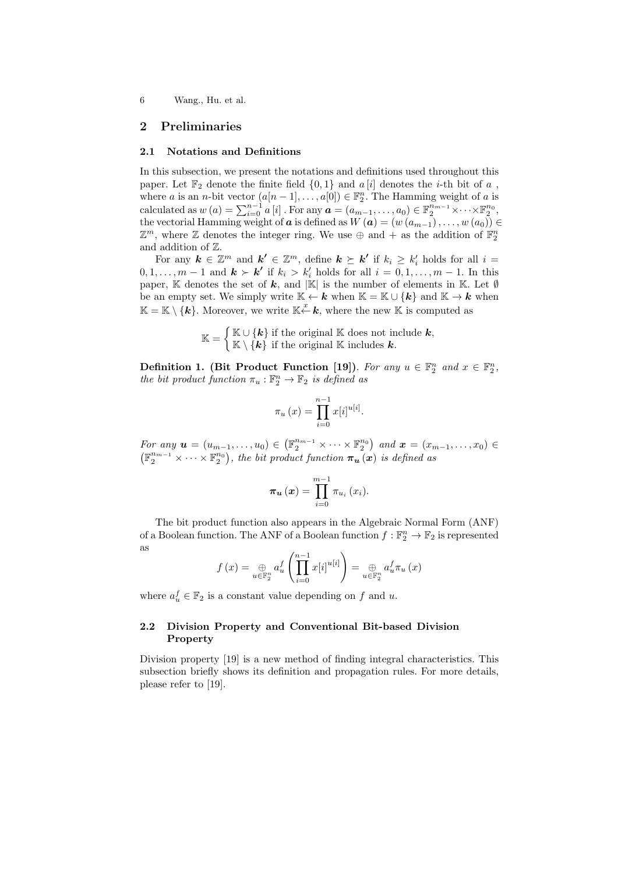# **2 Preliminaries**

#### **2.1 Notations and Definitions**

In this subsection, we present the notations and definitions used throughout this paper. Let  $\mathbb{F}_2$  denote the finite field  $\{0,1\}$  and  $a[i]$  denotes the *i*-th bit of  $a$ , where *a* is an *n*-bit vector  $(a[n-1], \ldots, a[0]) \in \mathbb{F}_2^n$ . The Hamming weight of *a* is calculated as  $w(a) = \sum_{i=0}^{n-1} a[i]$ . For any  $a = (a_{m-1}, \ldots, a_0) \in \mathbb{F}_2^{n_{m-1}} \times \cdots \times \mathbb{F}_2^{n_0}$ , the vectorial Hamming weight of *a* is defined as  $W(a) = (w(a_{m-1}), \ldots, w(a_0)) \in$  $\mathbb{Z}^m$ , where  $\mathbb Z$  denotes the integer ring. We use  $\oplus$  and + as the addition of  $\mathbb{F}_2^n$ and addition of Z.

For any  $k \in \mathbb{Z}^m$  and  $k' \in \mathbb{Z}^m$ , define  $k \succeq k'$  if  $k_i \geq k'_i$  holds for all  $i =$  $0, 1, \ldots, m-1$  and  $k > k'$  if  $k_i > k'_i$  holds for all  $i = 0, 1, \ldots, m-1$ . In this paper, K denotes the set of *k*, and *|*K*|* is the number of elements in K. Let *∅* be an empty set. We simply write  $K \leftarrow k$  when  $K = K \cup \{k\}$  and  $K \rightarrow k$  when  $\mathbb{K} = \mathbb{K} \setminus \{\mathbf{k}\}.$  Moreover, we write  $\mathbb{K} \stackrel{x}{\leftarrow} \mathbf{k}$ , where the new  $\mathbb{K}$  is computed as

> $\mathbb{K} =$  ${\upbeta}$  **K** ∪ {*k*} if the original **K** does not include *k*,  $\mathbb{K} \setminus \{\mathbf{k}\}\$ if the original  $\mathbb{K}$  includes  $\mathbf{k}$ *.*

**Definition 1.** (Bit Product Function [19]). For any  $u \in \mathbb{F}_2^n$  and  $x \in \mathbb{F}_2^n$ , *the bit product function*  $\pi_u : \mathbb{F}_2^n \to \mathbb{F}_2$  *is defined as* 

$$
\pi_u(x) = \prod_{i=0}^{n-1} x[i]^{u[i]}.
$$

*For any*  $u = (u_{m-1}, \ldots, u_0) \in (\mathbb{F}_2^{n_{m-1}} \times \cdots \times \mathbb{F}_2^{n_0})$  and  $x = (x_{m-1}, \ldots, x_0) \in$  $(\mathbb{F}_2^{n_{m-1}} \times \cdots \times \mathbb{F}_2^{n_0}),$  the bit product function  $\pi_u(x)$  is defined as

$$
\boldsymbol{\pi_{u}}\left(\boldsymbol{x}\right) = \prod_{i=0}^{m-1} \pi_{u_{i}}\left(x_{i}\right).
$$

The bit product function also appears in the Algebraic Normal Form (ANF) of a Boolean function. The ANF of a Boolean function  $f : \mathbb{F}_2^n \to \mathbb{F}_2$  is represented as (*<sup>n</sup>*∏*<sup>−</sup>*<sup>1</sup>

$$
f(x) = \bigoplus_{u \in \mathbb{F}_2^n} a_u^f \left( \prod_{i=0}^{n-1} x[i]^{u[i]} \right) = \bigoplus_{u \in \mathbb{F}_2^n} a_u^f \pi_u(x)
$$

where  $a_u^f \in \mathbb{F}_2$  is a constant value depending on  $f$  and  $u$ .

### **2.2 Division Property and Conventional Bit-based Division Property**

Division property [19] is a new method of finding integral characteristics. This subsection briefly shows its definition and propagation rules. For more details, please refer to [19].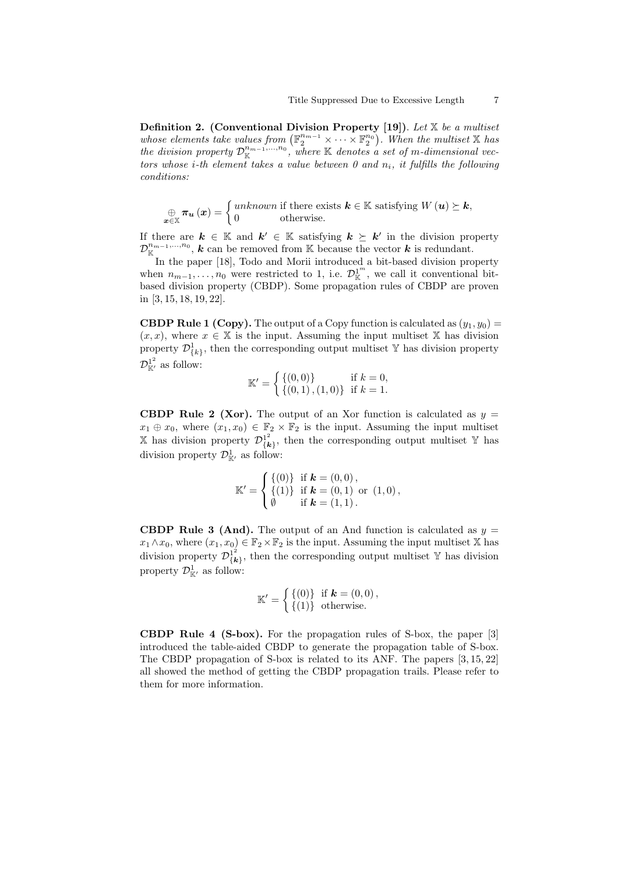**Definition 2. (Conventional Division Property [19])**. *Let* X *be a multiset whose elements take values from*  $(\mathbb{F}_2^{n_{m-1}} \times \cdots \times \mathbb{F}_2^{n_0})$ . When the multiset X has *the division property*  $\mathcal{D}_{\mathbb{K}}^{n_{m-1},...,n_0}$ , where  $\mathbb{K}$  *denotes a set of m-dimensional vectors whose i-th element takes a value between 0 and ni, it fulfills the following conditions:*

$$
\bigoplus_{\boldsymbol{x}\in\mathbb{X}}\boldsymbol{\pi}_{\boldsymbol{u}}\left(\boldsymbol{x}\right)=\begin{cases} unknown \text{ if there exists } \boldsymbol{k}\in\mathbb{K} \text{ satisfying } W\left(\boldsymbol{u}\right)\succeq\boldsymbol{k},\\ 0 \qquad \text{ otherwise.} \end{cases}
$$

If there are  $k \in \mathbb{K}$  and  $k' \in \mathbb{K}$  satisfying  $k \geq k'$  in the division property  $\mathcal{D}_{\mathbb{K}}^{n_{m-1},...,n_0}$ , *k* can be removed from K because the vector *k* is redundant.

In the paper [18], Todo and Morii introduced a bit-based division property when  $n_{m-1}, \ldots, n_0$  were restricted to 1, i.e.  $\mathcal{D}_{\mathbb{K}}^{1^m}$ , we call it conventional bitbased division property (CBDP). Some propagation rules of CBDP are proven in [3, 15, 18, 19, 22].

**CBDP Rule 1 (Copy).** The output of a Copy function is calculated as  $(y_1, y_0)$  =  $(x, x)$ , where  $x \in \mathbb{X}$  is the input. Assuming the input multiset  $\mathbb{X}$  has division property  $\mathcal{D}^1_{\{k\}}$ , then the corresponding output multiset Y has division property  $\mathcal{D}_{\mathbb{K}'}^{1^2}$  as follow:

$$
\mathbb{K}' = \begin{cases} \{ (0,0) \} & \text{if } k = 0, \\ \{ (0,1), (1,0) \} & \text{if } k = 1. \end{cases}
$$

**CBDP Rule 2 (Xor).** The output of an Xor function is calculated as  $y =$  $x_1 \oplus x_0$ , where  $(x_1, x_0) \in \mathbb{F}_2 \times \mathbb{F}_2$  is the input. Assuming the input multiset  $\mathbb{X}$  has division property  $\mathcal{D}_{\mathcal{U}}^{1^2}$  $\{k\}$ , then the corresponding output multiset Y has division property  $\mathcal{D}^1_{\mathbb{K}'}$  as follow:

$$
\mathbb{K}' = \begin{cases} \{(0)\} & \text{if } \mathbf{k} = (0,0), \\ \{(1)\} & \text{if } \mathbf{k} = (0,1) \text{ or } (1,0), \\ \emptyset & \text{if } \mathbf{k} = (1,1). \end{cases}
$$

**CBDP Rule 3 (And).** The output of an And function is calculated as  $y =$  $x_1 \wedge x_0$ , where  $(x_1, x_0) \in \mathbb{F}_2 \times \mathbb{F}_2$  is the input. Assuming the input multiset X has division property  $\mathcal{D}_{I\bm{k}}^{1^2}$  $\{k\}$ , then the corresponding output multiset Y has division property  $\mathcal{D}^1_{\mathbb{K}'}$  as follow:

$$
\mathbb{K}' = \left\{ \begin{matrix} \{0\} & \text{if } \mathbf{k} = (0,0), \\ \{1\} & \text{otherwise.} \end{matrix} \right.
$$

**CBDP Rule 4 (S-box).** For the propagation rules of S-box, the paper [3] introduced the table-aided CBDP to generate the propagation table of S-box. The CBDP propagation of S-box is related to its ANF. The papers [3, 15, 22] all showed the method of getting the CBDP propagation trails. Please refer to them for more information.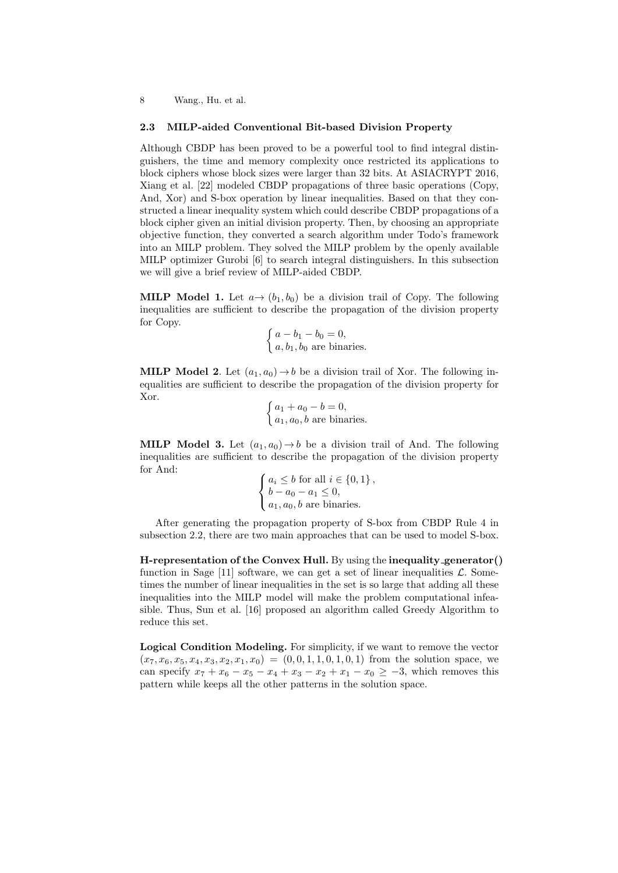#### **2.3 MILP-aided Conventional Bit-based Division Property**

Although CBDP has been proved to be a powerful tool to find integral distinguishers, the time and memory complexity once restricted its applications to block ciphers whose block sizes were larger than 32 bits. At ASIACRYPT 2016, Xiang et al. [22] modeled CBDP propagations of three basic operations (Copy, And, Xor) and S-box operation by linear inequalities. Based on that they constructed a linear inequality system which could describe CBDP propagations of a block cipher given an initial division property. Then, by choosing an appropriate objective function, they converted a search algorithm under Todo's framework into an MILP problem. They solved the MILP problem by the openly available MILP optimizer Gurobi [6] to search integral distinguishers. In this subsection we will give a brief review of MILP-aided CBDP.

**MILP Model 1.** Let  $a \rightarrow (b_1, b_0)$  be a division trail of Copy. The following inequalities are sufficient to describe the propagation of the division property for Copy.

$$
\begin{cases} a - b_1 - b_0 = 0, \\ a, b_1, b_0 \text{ are binaries.} \end{cases}
$$

**MILP Model 2.** Let  $(a_1, a_0) \rightarrow b$  be a division trail of Xor. The following inequalities are sufficient to describe the propagation of the division property for Xor.

 $\int a_1 + a_0 - b = 0,$  $a_1, a_0, b$  are binaries.

**MILP Model 3.** Let  $(a_1, a_0) \rightarrow b$  be a division trail of And. The following inequalities are sufficient to describe the propagation of the division property for And:

$$
\begin{cases} a_i \leq b \text{ for all } i \in \{0, 1\}, \\ b - a_0 - a_1 \leq 0, \\ a_1, a_0, b \text{ are binaries.} \end{cases}
$$

After generating the propagation property of S-box from CBDP Rule 4 in subsection 2.2, there are two main approaches that can be used to model S-box.

**H-representation of the Convex Hull.** By using the **inequality generator()** function in Sage [11] software, we can get a set of linear inequalities  $\mathcal{L}$ . Sometimes the number of linear inequalities in the set is so large that adding all these inequalities into the MILP model will make the problem computational infeasible. Thus, Sun et al. [16] proposed an algorithm called Greedy Algorithm to reduce this set.

**Logical Condition Modeling.** For simplicity, if we want to remove the vector  $(x_7, x_6, x_5, x_4, x_3, x_2, x_1, x_0) = (0, 0, 1, 1, 0, 1, 0, 1)$  from the solution space, we can specify  $x_7 + x_6 - x_5 - x_4 + x_3 - x_2 + x_1 - x_0 \geq -3$ , which removes this pattern while keeps all the other patterns in the solution space.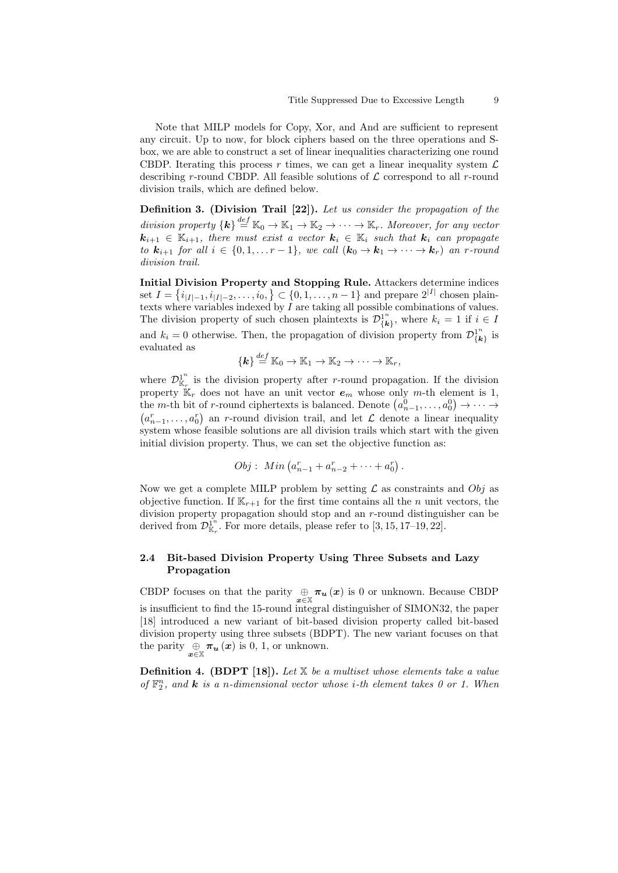Note that MILP models for Copy, Xor, and And are sufficient to represent any circuit. Up to now, for block ciphers based on the three operations and Sbox, we are able to construct a set of linear inequalities characterizing one round CBDP. Iterating this process  $r$  times, we can get a linear inequality system  $\mathcal{L}$ describing *r*-round CBDP. All feasible solutions of *L* correspond to all *r*-round division trails, which are defined below.

**Definition 3. (Division Trail [22]).** *Let us consider the propagation of the division property*  $\{k\} \stackrel{def}{=} \mathbb{K}_0 \to \mathbb{K}_1 \to \mathbb{K}_2 \to \cdots \to \mathbb{K}_r$ . Moreover, for any vector  $k_{i+1} \in \mathbb{K}_{i+1}$ , there must exist a vector  $k_i \in \mathbb{K}_i$  such that  $k_i$  can propagate *to*  $\mathbf{k}_{i+1}$  *for all*  $i \in \{0, 1, \ldots r-1\}$ *, we call*  $(\mathbf{k}_0 \to \mathbf{k}_1 \to \cdots \to \mathbf{k}_r)$  *an r-round division trail.*

**Initial Division Property and Stopping Rule.** Attackers determine indices set  $I = \{i_{|I|-1}, i_{|I|-2}, \ldots, i_0, \} \subset \{0, 1, \ldots, n-1\}$  and prepare  $2^{|I|}$  chosen plaintexts where variables indexed by *I* are taking all possible combinations of values. The division property of such chosen plaintexts is  $\mathcal{D}_{l_k}^{1^n}$  $\{k_i\}$ , where  $k_i = 1$  if  $i \in I$ and  $k_i = 0$  otherwise. Then, the propagation of division property from  $\mathcal{D}_{\ell k}^{1^n}$  $\frac{1}{k}$  is evaluated as

$$
\{\boldsymbol{k}\} \stackrel{def}{=} \mathbb{K}_0 \to \mathbb{K}_1 \to \mathbb{K}_2 \to \cdots \to \mathbb{K}_r,
$$

where  $\mathcal{D}_{\mathbb{K}_n}^1$  $\int_{\mathbb{K}_r}^{1^n}$  is the division property after *r*-round propagation. If the division property  $\mathbb{K}_r$  does not have an unit vector  $e_m$  whose only *m*-th element is 1, the *m*-th bit of *r*-round ciphertexts is balanced. Denote  $(a_{n-1}^0, \ldots, a_0^0) \rightarrow \cdots \rightarrow$  $(a_{n-1}^r, \ldots, a_0^r)$  an *r*-round division trail, and let *L* denote a linear inequality system whose feasible solutions are all division trails which start with the given initial division property. Thus, we can set the objective function as:

$$
Obj: Min (a_{n-1}^r + a_{n-2}^r + \cdots + a_0^r).
$$

Now we get a complete MILP problem by setting *L* as constraints and *Obj* as objective function. If  $\mathbb{K}_{r+1}$  for the first time contains all the *n* unit vectors, the division property propagation should stop and an *r*-round distinguisher can be derived from  $\mathcal{D}_{\mathbb{K}_n}^{\mathbb{1}^n}$  $\frac{1}{K_r}$ . For more details, please refer to [3, 15, 17–19, 22].

### **2.4 Bit-based Division Property Using Three Subsets and Lazy Propagation**

CBDP focuses on that the parity  $\bigoplus_{x \in \mathbb{X}} \pi_u(x)$  is 0 or unknown. Because CBDP is insufficient to find the 15-round integral distinguisher of SIMON32, the paper [18] introduced a new variant of bit-based division property called bit-based division property using three subsets (BDPT). The new variant focuses on that the parity  $\bigoplus_{x \in \mathbb{X}} \pi_u(x)$  is 0, 1, or unknown.

**Definition 4. (BDPT [18]).** *Let* X *be a multiset whose elements take a value of*  $\mathbb{F}_2^n$ , and **k** *is a n*-dimensional vector whose *i*-th element takes 0 or 1. When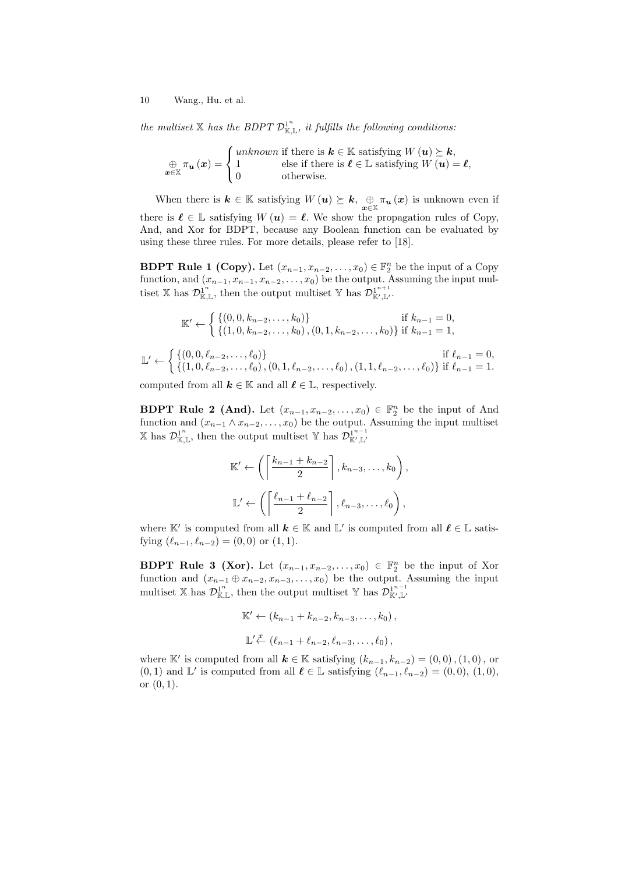*the multiset*  $X$  *has the BDPT*  $\mathcal{D}_{\mathbb{K},\mathbb{L}}^{1^n}$ *, it fulfills the following conditions:* 

$$
\bigoplus_{\mathbf{x} \in \mathbb{X}} \pi_{\mathbf{u}}(\mathbf{x}) = \begin{cases} unknown \text{ if there is } \mathbf{k} \in \mathbb{K} \text{ satisfying } W(\mathbf{u}) \succeq \mathbf{k}, \\ 1 & \text{else if there is } \mathbf{\ell} \in \mathbb{L} \text{ satisfying } W(\mathbf{u}) = \mathbf{\ell}, \\ 0 & \text{otherwise.} \end{cases}
$$

When there is  $k \in \mathbb{K}$  satisfying  $W(u) \succeq k$ ,  $\bigoplus_{x \in \mathbb{X}} \pi_u(x)$  is unknown even if there is  $\ell \in \mathbb{L}$  satisfying  $W(u) = \ell$ . We show the propagation rules of Copy, And, and Xor for BDPT, because any Boolean function can be evaluated by using these three rules. For more details, please refer to [18].

**BDPT Rule 1 (Copy).** Let  $(x_{n-1}, x_{n-2}, \ldots, x_0) \in \mathbb{F}_2^n$  be the input of a Copy function, and  $(x_{n-1}, x_{n-1}, x_{n-2}, \ldots, x_0)$  be the output. Assuming the input multiset X has  $\mathcal{D}_{\mathbb{K},\mathbb{L}}^{1^n}$ , then the output multiset Y has  $\mathcal{D}_{\mathbb{K}',\mathbb{L}'}^{1^{n+1}}$ K*′ ,*L*′* .

$$
\mathbb{K}' \leftarrow \begin{cases} \{(0,0,k_{n-2},\ldots,k_0)\} & \text{if } k_{n-1} = 0, \\ \{(1,0,k_{n-2},\ldots,k_0), (0,1,k_{n-2},\ldots,k_0)\} & \text{if } k_{n-1} = 1, \end{cases}
$$
  

$$
\mathbb{L}' \leftarrow \begin{cases} \{(0,0,\ell_{n-2},\ldots,\ell_0)\} & \text{if } \ell_{n-1} = 0, \\ \{(1,0,\ell_{n-2},\ldots,\ell_0), (0,1,\ell_{n-2},\ldots,\ell_0), (1,1,\ell_{n-2},\ldots,\ell_0)\} & \text{if } \ell_{n-1} = 1. \end{cases}
$$

computed from all  $k \in \mathbb{K}$  and all  $\ell \in \mathbb{L}$ , respectively.

**BDPT Rule 2 (And).** Let  $(x_{n-1}, x_{n-2}, \ldots, x_0) \in \mathbb{F}_2^n$  be the input of And function and  $(x_{n-1} \wedge x_{n-2}, \ldots, x_0)$  be the output. Assuming the input multiset X has  $\mathcal{D}_{\mathbb{K},\mathbb{L}}^{1^n}$ , then the output multiset Y has  $\mathcal{D}_{\mathbb{K}',\mathbb{L}'}^{1^{n-1}}$ K*′ ,*L*′*

$$
\mathbb{K}' \leftarrow \left( \left\lceil \frac{k_{n-1} + k_{n-2}}{2} \right\rceil, k_{n-3}, \dots, k_0 \right),
$$
  

$$
\mathbb{L}' \leftarrow \left( \left\lceil \frac{\ell_{n-1} + \ell_{n-2}}{2} \right\rceil, \ell_{n-3}, \dots, \ell_0 \right),
$$

where  $\mathbb{K}'$  is computed from all  $k \in \mathbb{K}$  and  $\mathbb{L}'$  is computed from all  $\ell \in \mathbb{L}$  satisfying  $(\ell_{n-1}, \ell_{n-2}) = (0, 0)$  or  $(1, 1)$ .

**BDPT Rule 3 (Xor).** Let  $(x_{n-1}, x_{n-2}, \ldots, x_0) \in \mathbb{F}_2^n$  be the input of Xor function and  $(x_{n-1} \oplus x_{n-2}, x_{n-3}, \ldots, x_0)$  be the output. Assuming the input multiset X has  $\mathcal{D}_{\mathbb{K},\mathbb{L}}^{1^n}$ , then the output multiset Y has  $\mathcal{D}_{\mathbb{K}',\mathbb{L}'}^{1^{n-1}}$ K*′ ,*L*′*

$$
\mathbb{K}' \leftarrow (k_{n-1} + k_{n-2}, k_{n-3}, \dots, k_0),
$$
  

$$
\mathbb{L}' \stackrel{x}{\leftarrow} (\ell_{n-1} + \ell_{n-2}, \ell_{n-3}, \dots, \ell_0),
$$

where K<sup>*′*</sup> is computed from all  $k \in \mathbb{K}$  satisfying  $(k_{n-1}, k_{n-2}) = (0, 0), (1, 0),$  or (0, 1) and  $\mathbb{L}'$  is computed from all  $\ell \in \mathbb{L}$  satisfying  $(\ell_{n-1}, \ell_{n-2}) = (0, 0), (1, 0),$ or (0*,* 1).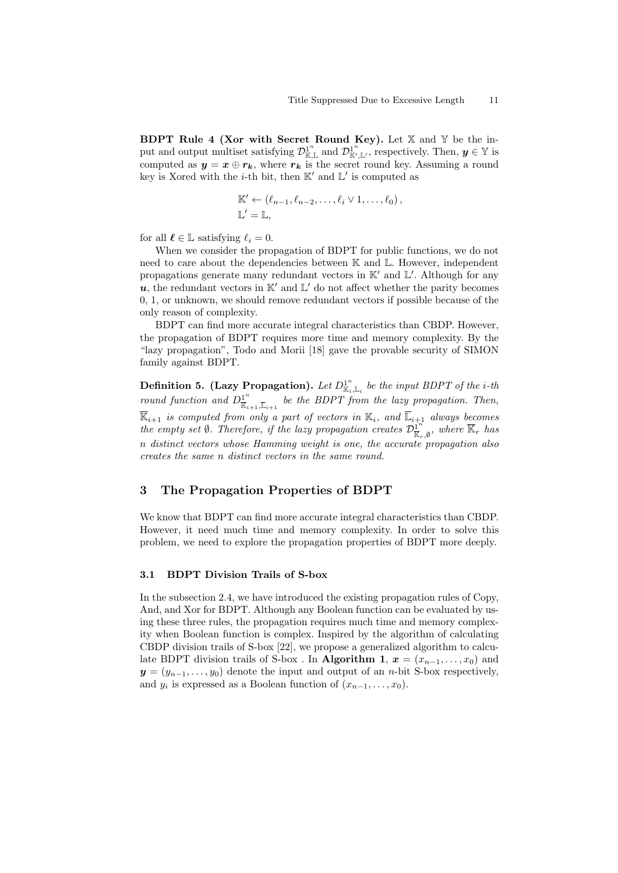**BDPT Rule 4 (Xor with Secret Round Key).** Let X and Y be the input and output multiset satisfying  $\mathcal{D}_{\mathbb{K},\mathbb{L}}^{1^n}$  and  $\mathcal{D}_{\mathbb{K}'}^{1^n}$  $\mathbb{R}^n, \mathbb{L}^n$ , respectively. Then,  $y \in \mathbb{Y}$  is computed as  $y = x \oplus r_k$ , where  $r_k$  is the secret round key. Assuming a round key is Xored with the *i*-th bit, then  $K'$  and  $L'$  is computed as

$$
\mathbb{K}' \leftarrow (\ell_{n-1}, \ell_{n-2}, \ldots, \ell_i \vee 1, \ldots, \ell_0),
$$
  

$$
\mathbb{L}' = \mathbb{L},
$$

for all  $\ell \in \mathbb{L}$  satisfying  $\ell_i = 0$ .

When we consider the propagation of BDPT for public functions, we do not need to care about the dependencies between K and L. However, independent propagations generate many redundant vectors in K*′* and L *′* . Although for any  $u$ , the redundant vectors in  $\mathbb{K}'$  and  $\mathbb{L}'$  do not affect whether the parity becomes 0, 1, or unknown, we should remove redundant vectors if possible because of the only reason of complexity.

BDPT can find more accurate integral characteristics than CBDP. However, the propagation of BDPT requires more time and memory complexity. By the "lazy propagation", Todo and Morii [18] gave the provable security of SIMON family against BDPT.

**Definition 5.** (Lazy Propagation). Let  $D_{\mathbb{K}_i,\mathbb{L}_i}^{1^n}$  be the input BDPT of the *i*-th *round function and*  $D^{\perp n}_{\overline{\nu}}$  $\frac{1}{\mathbb{K}_{i+1}, \overline{\mathbb{L}}_{i+1}}$  be the BDPT from the lazy propagation. Then,  $\mathbb{K}_{i+1}$  *is computed from only a part of vectors in*  $\mathbb{K}_i$ *, and*  $\mathbb{L}_{i+1}$  *always becomes the empty set*  $\emptyset$ *. Therefore, if the lazy propagation creates*  $\mathcal{D}^{\mathbf{1}^n}_{\overline{\mathbf{1}^n}}$  $\frac{d^{n}}{\mathbb{K}_{r}, \emptyset}$ , where  $\mathbb{K}_{r}$  has *n distinct vectors whose Hamming weight is one, the accurate propagation also creates the same n distinct vectors in the same round.*

# **3 The Propagation Properties of BDPT**

We know that BDPT can find more accurate integral characteristics than CBDP. However, it need much time and memory complexity. In order to solve this problem, we need to explore the propagation properties of BDPT more deeply.

# **3.1 BDPT Division Trails of S-box**

In the subsection 2.4, we have introduced the existing propagation rules of Copy, And, and Xor for BDPT. Although any Boolean function can be evaluated by using these three rules, the propagation requires much time and memory complexity when Boolean function is complex. Inspired by the algorithm of calculating CBDP division trails of S-box [22], we propose a generalized algorithm to calculate BDPT division trails of S-box . In **Algorithm 1**,  $x = (x_{n-1}, \ldots, x_0)$  and  $y = (y_{n-1}, \ldots, y_0)$  denote the input and output of an *n*-bit S-box respectively, and  $y_i$  is expressed as a Boolean function of  $(x_{n-1}, \ldots, x_0)$ .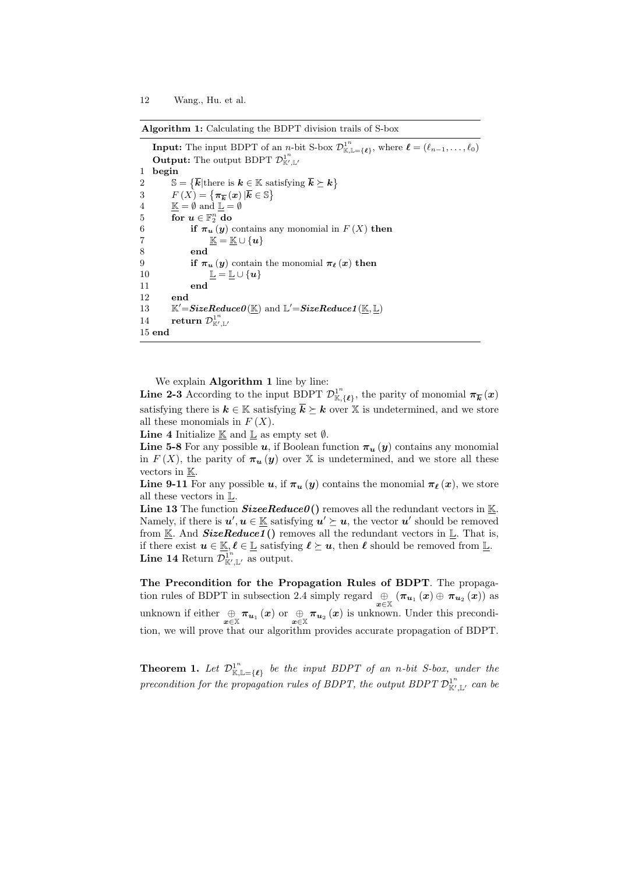**Algorithm 1:** Calculating the BDPT division trails of S-box

**Input:** The input BDPT of an *n*-bit S-box  $\mathcal{D}_{\mathbb{K},\mathbb{L}=\{\ell\}}^{1^n}$ , where  $\ell = (\ell_{n-1},\ldots,\ell_0)$ **Output:** The output BDPT  $\mathcal{D}_{\mathbb{K}'}^{1^n}$ K*′ ,*L*′* 1 **begin** 2  $\mathbb{S} = \{ \overline{k} | \text{there is } k \in \mathbb{K} \text{ satisfying } \overline{k} \succeq k \}$ 3  $F(X) = {\pi_{\overline{k}}(x) | \overline{k} \in \mathbb{S}}$ 4  $\mathbb{K} = \emptyset$  and  $\mathbb{L} = \emptyset$  $5$  **for**  $u \in \mathbb{F}_2^n$  do 6 **if**  $\pi_u(y)$  contains any monomial in  $F(X)$  then  $\mathbb{K} = \mathbb{K} \cup \{u\}$ 8 **end** 9 **if**  $\pi_u(y)$  contain the monomial  $\pi_\ell(x)$  then 10  $\mathbb{L} = \mathbb{L} \cup \{u\}$ 11 **end** 12 **end 13**  $\mathcal{C}'{=}SizeReduceO(\underline{\mathbb{K}}) \text{ and } \mathbb{L}'{=}SizeReduce1(\underline{\mathbb{K}}, \underline{\mathbb{L}})$ 14 **return**  $\mathcal{D}_{\mathbb{K}'}^{1^n}$ K*′ ,*L*′* 15 **end**

We explain **Algorithm 1** line by line:

**Line 2-3** According to the input BDPT  $\mathcal{D}_{\mathbb{K}}^{1^n}$  $\mathbb{E}^{1^n}(\mathbf{z})$ , the parity of monomial  $\pi_{\overline{k}}(x)$ satisfying there is  $k \in \mathbb{K}$  satisfying  $\overline{k} \geq k$  over X is undetermined, and we store all these monomials in  $F(X)$ .

**Line 4** Initialize  $K$  and  $L$  as empty set  $\emptyset$ .

**Line 5-8** For any possible *u*, if Boolean function  $\pi_u(y)$  contains any monomial in  $F(X)$ , the parity of  $\pi_u(y)$  over X is undetermined, and we store all these vectors in K.

**Line 9-11** For any possible *u*, if  $\pi_u(y)$  contains the monomial  $\pi_\ell(x)$ , we store all these vectors in L.

**Line 13** The function  $SizeeReduce0()$  removes all the redundant vectors in K. Namely, if there is  $u', u \in \mathbb{K}$  satisfying  $u' \succeq u$ , the vector  $u'$  should be removed from  $K$ . And **SizeReduce1** () removes all the redundant vectors in  $L$ . That is, if there exist  $u \in \mathbb{K}, \ell \in \mathbb{L}$  satisfying  $\ell \succeq u$ , then  $\ell$  should be removed from  $\mathbb{L}$ . **Line 14** Return  $\overline{\mathcal{D}}_{\mathbb{K}'}^{1^n}$  $\iota_{\mathbb{K}',\mathbb{L}'}^1$  as output.

**The Precondition for the Propagation Rules of BDPT**. The propagation rules of BDPT in subsection 2.4 simply regard  $\bigoplus_{x \in \mathbb{X}} (\pi_{u_1}(x) \oplus \pi_{u_2}(x))$  as unknown if either  $\bigoplus_{x\in\mathbb{X}} \pi_{u_1}(x)$  or  $\bigoplus_{x\in\mathbb{X}} \pi_{u_2}(x)$  is unknown. Under this precondition, we will prove that our algorithm provides accurate propagation of BDPT.

**Theorem 1.** Let  $\mathcal{D}_{\mathbb{K}}^{1^n}$  $\int_{K,L=\{\ell\}}^{L^n}$  *be the input BDPT of an n-bit S-box, under the* precondition for the propagation rules of BDPT, the output BDPT  $\mathcal{D}_{\mathbb{K}'}^{\mathbb{1}^n}$ K*′ ,*L*′ can be*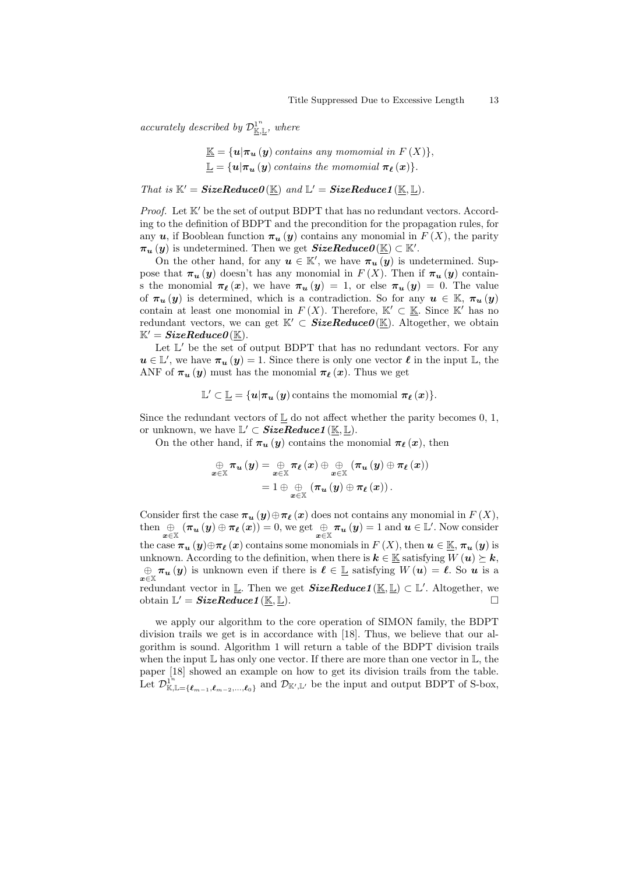*accurately described by*  $\mathcal{D}_{\underline{\mathbb{K}},\underline{\mathbb{L}}}^1$ *, where* 

$$
\underline{\mathbb{K}} = \{u | \pi_u(y) \text{ contains any monomial in } F(X)\},
$$
  

$$
\underline{\mathbb{L}} = \{u | \pi_u(y) \text{ contains the monomial } \pi_{\ell}(x)\}.
$$

*That is*  $K' = \textbf{SizeReduceO}(\underline{\mathbb{K}})$  *and*  $\mathbb{L}' = \textbf{SizeReduce1}(\underline{\mathbb{K}}, \underline{\mathbb{L}})$ *.* 

*Proof.* Let K' be the set of output BDPT that has no redundant vectors. According to the definition of BDPT and the precondition for the propagation rules, for any *u*, if Booblean function  $\pi_u(y)$  contains any monomial in  $F(X)$ , the parity  $\pi_u(y)$  is undetermined. Then we get  $SizeReduce0(\mathbb{K}) \subset \mathbb{K}'$ .

On the other hand, for any  $u \in \mathbb{K}'$ , we have  $\pi_u(y)$  is undetermined. Suppose that  $\pi_u(y)$  doesn't has any monomial in  $F(X)$ . Then if  $\pi_u(y)$  contains the monomial  $\pi_{\ell}(x)$ , we have  $\pi_{\ell}(y) = 1$ , or else  $\pi_{\ell}(y) = 0$ . The value of  $\pi_u(y)$  is determined, which is a contradiction. So for any  $u \in \mathbb{K}$ ,  $\pi_u(y)$ contain at least one monomial in  $F(X)$ . Therefore,  $K' \subset \underline{\mathbb{K}}$ . Since  $K'$  has no redundant vectors, we can get  $K' \subset \textbf{SizeReduceO}(K)$ . Altogether, we obtain  $\mathbb{K}' = SizeReduceO(\mathbb{K}).$ 

Let  $\mathbb{L}'$  be the set of output BDPT that has no redundant vectors. For any  $u \in \mathbb{L}'$ , we have  $\pi_u(y) = 1$ . Since there is only one vector  $\ell$  in the input  $\mathbb{L}$ , the ANF of  $\pi_u(y)$  must has the monomial  $\pi_\ell(x)$ . Thus we get

$$
\mathbb{L}' \subset \mathbb{L} = \{u | \pi_u(y) \text{ contains the monomial } \pi_{\ell}(x)\}.
$$

Since the redundant vectors of  $\mathbb{L}$  do not affect whether the parity becomes 0, 1, or unknown, we have  $\mathbb{L}' \subset \textit{SizeReduce1}(\mathbb{K}, \mathbb{L})$ .

On the other hand, if  $\pi_u(y)$  contains the monomial  $\pi_\ell(x)$ , then

$$
\underset{\boldsymbol{x}\in\mathbb{X}}{\oplus}\pi_{\boldsymbol{u}}\left(\boldsymbol{y}\right)=\underset{\boldsymbol{x}\in\mathbb{X}}{\oplus}\pi_{\ell}\left(\boldsymbol{x}\right)\oplus\underset{\boldsymbol{x}\in\mathbb{X}}{\oplus}\left(\pi_{\boldsymbol{u}}\left(\boldsymbol{y}\right)\oplus\pi_{\ell}\left(\boldsymbol{x}\right)\right)
$$
\n
$$
=1\oplus\underset{\boldsymbol{x}\in\mathbb{X}}{\oplus}\left(\pi_{\boldsymbol{u}}\left(\boldsymbol{y}\right)\oplus\pi_{\ell}\left(\boldsymbol{x}\right)\right).
$$

Consider first the case  $\pi_u(y) \oplus \pi_\ell(x)$  does not contains any monomial in  $F(X)$ , then  $\bigoplus_{x \in \mathbb{X}} (\pi_u(y) \oplus \pi_\ell(x)) = 0$ , we get  $\bigoplus_{x \in \mathbb{X}} \pi_u(y) = 1$  and  $u \in \mathbb{L}'$ . Now consider the case  $\pi_u(y) \oplus \pi_\ell(x)$  contains some monomials in  $F(X)$ , then  $u \in \mathbb{K}, \pi_u(y)$  is unknown. According to the definition, when there is  $k \in \mathbb{K}$  satisfying  $W(u) \succeq k$ ,  $\bigoplus_{x \in \mathbb{X}} \pi_u(y)$  is unknown even if there is  $\ell \in \mathbb{L}$  satisfying  $W(u) = \ell$ . So *u* is a redundant vector in  $\mathbb{L}$ . Then we get *SizeReduce1*( $\mathbb{K}, \mathbb{L}$ ) ⊂  $\mathbb{L}'$ . Altogether, we  $\text{obtain } \mathbb{L}' = \textbf{SizeReduce1}(\underline{\mathbb{K}}, \underline{\mathbb{L}}).$ 

we apply our algorithm to the core operation of SIMON family, the BDPT division trails we get is in accordance with [18]. Thus, we believe that our algorithm is sound. Algorithm 1 will return a table of the BDPT division trails when the input  $\mathbb L$  has only one vector. If there are more than one vector in  $\mathbb L$ , the paper [18] showed an example on how to get its division trails from the table.  $\mathrm{Let} \ \mathcal{D}^{\mathbf{1}^n}_{\mathbb{K}}$  $\mathbb{E}_{\mathbb{K},\mathbb{L}=\{\ell_{m-1},\ell_{m-2},...,\ell_0\}}^{\mathbb{L}^n}$  and  $\mathcal{D}_{\mathbb{K}',\mathbb{L}'}$  be the input and output BDPT of S-box,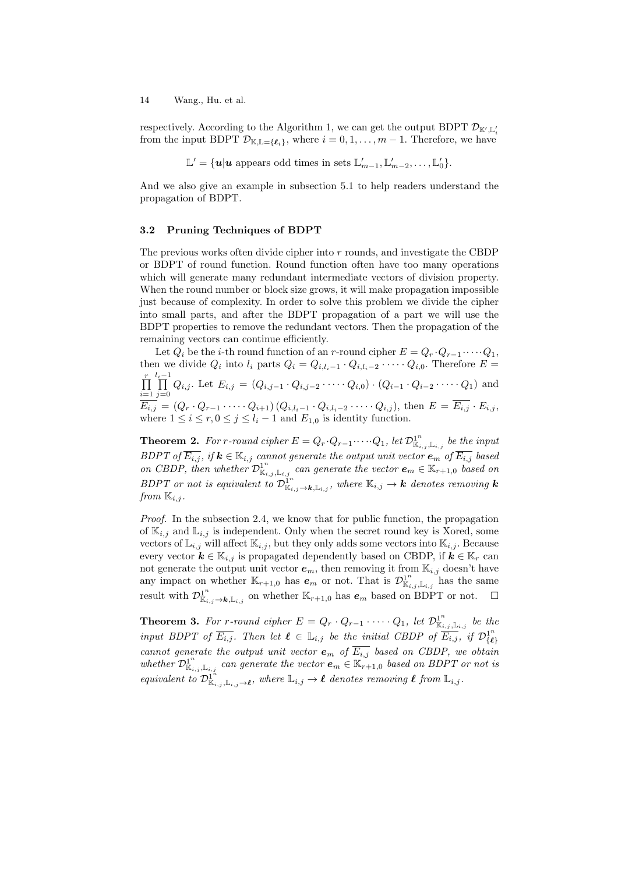respectively. According to the Algorithm 1, we can get the output BDPT  $\mathcal{D}_{\mathbb{K}',\mathbb{L}'_i}$ from the input BDPT  $\mathcal{D}_{K,\mathbb{L}=\{\ell_i\}}$ , where  $i=0,1,\ldots,m-1$ . Therefore, we have

 $\mathbb{L}' = \{ \mathbf{u} | \mathbf{u} \text{ appears odd times in sets } \mathbb{L}'_{m-1}, \mathbb{L}'_{m-2}, \dots, \mathbb{L}'_0 \}.$ 

And we also give an example in subsection 5.1 to help readers understand the propagation of BDPT.

#### **3.2 Pruning Techniques of BDPT**

The previous works often divide cipher into *r* rounds, and investigate the CBDP or BDPT of round function. Round function often have too many operations which will generate many redundant intermediate vectors of division property. When the round number or block size grows, it will make propagation impossible just because of complexity. In order to solve this problem we divide the cipher into small parts, and after the BDPT propagation of a part we will use the BDPT properties to remove the redundant vectors. Then the propagation of the remaining vectors can continue efficiently.

Let  $Q_i$  be the *i*-th round function of an *r*-round cipher  $E = Q_r \cdot Q_{r-1} \cdot \cdots \cdot Q_1$ , then we divide  $Q_i$  into  $l_i$  parts  $Q_i = Q_{i,l_i-1} \cdot Q_{i,l_i-2} \cdot \cdots \cdot Q_{i,0}$ . Therefore  $E =$ ∏*r i*=1 *<sup>l</sup><sup>i</sup>*∏*<sup>−</sup>*<sup>1</sup>  $\prod_{j=0} Q_{i,j}$ . Let  $E_{i,j} = (Q_{i,j-1} \cdot Q_{i,j-2} \cdot \cdots \cdot Q_{i,0}) \cdot (Q_{i-1} \cdot Q_{i-2} \cdot \cdots \cdot Q_1)$  and  $E_{i,j} = (Q_r \cdot Q_{r-1} \cdot \cdots \cdot Q_{i+1}) (Q_{i,l_i-1} \cdot Q_{i,l_i-2} \cdot \cdots \cdot Q_{i,j}),$  then  $E = E_{i,j} \cdot E_{i,j}$ , where  $1 \leq i \leq r, 0 \leq j \leq l_i - 1$  and  $E_{1,0}$  is identity function.

**Theorem 2.** For r-round cipher  $E = Q_r \cdot Q_{r-1} \cdots Q_1$ , let  $\mathcal{D}^{\mathbf{1}^n}_{\mathbb{K}_{i,j},\mathbb{L}_{i,j}}$  be the input *BDPT* of  $E_{i,j}$ , if  $k \in \mathbb{K}_{i,j}$  cannot generate the output unit vector  $e_m$  of  $E_{i,j}$  based *on CBDP, then whether*  $\mathcal{D}^{1^n}_{\mathbb{K}_{i,j},\mathbb{L}_{i,j}}$  *can generate the vector*  $e_m \in \mathbb{K}_{r+1,0}$  *based on BDPT or not is equivalent to*  $\mathcal{D}_{\mathbb{K}_{i,j}\to\mathbf{k},\mathbb{L}_{i,j}}^{\mathbb{1}^n}$ , where  $\mathbb{K}_{i,j}\to\mathbf{k}$  denotes removing **k** *from*  $\mathbb{K}_{i,j}$ *.* 

*Proof.* In the subsection 2.4, we know that for public function, the propagation of  $\mathbb{K}_{i,j}$  and  $\mathbb{L}_{i,j}$  is independent. Only when the secret round key is Xored, some vectors of  $\mathbb{L}_{i,j}$  will affect  $\mathbb{K}_{i,j}$ , but they only adds some vectors into  $\mathbb{K}_{i,j}$ . Because every vector  $k \in \mathbb{K}_{i,j}$  is propagated dependently based on CBDP, if  $k \in \mathbb{K}_r$  can not generate the output unit vector  $e_m$ , then removing it from  $\mathbb{K}_{i,j}$  doesn't have any impact on whether  $\mathbb{K}_{r+1,0}$  has  $e_m$  or not. That is  $\mathcal{D}^{1^n}_{\mathbb{K}_{i,j},\mathbb{L}_{i,j}}$  has the same *n* result with  $\mathcal{D}_{\mathbb{K}_{i,j}}^1$  → *k*, L<sub>*i,j*</sub></sub> on whether  $\mathbb{K}_{r+1,0}$  has  $e_m$  based on BDPT or not.  $\Box$ 

**Theorem 3.** For *r*-round cipher  $E = Q_r \cdot Q_{r-1} \cdot \cdots \cdot Q_1$ , let  $\mathcal{D}^1_{\mathbb{K}_{i,j},\mathbb{L}_{i,j}}$  be the *input BDPT of*  $\overline{E_{i,j}}$ . Then let  $\ell \in \mathbb{L}_{i,j}$  be the initial CBDP of  $\overline{E_{i,j}}$ , if  $\mathcal{D}_{i\ell}^{1^n}$ *{ℓ} cannot generate the output unit vector*  $e_m$  *of*  $\overline{E_{i,j}}$  *based on CBDP, we obtain whether*  $\mathcal{D}_{\mathbb{K}_{i,j},\mathbb{L}_{i,j}}^1$  *can generate the vector*  $e_m \in \mathbb{K}_{r+1,0}$  *based on BDPT or not is*  $P(\text{div}{\mathbf{R}}) = \mathbb{R}^n, \quad \mathbb{R}^n, \quad \mathbb{R}^n, \quad \mathbb{R}^n, \quad \mathbb{R}^n, \quad \mathbb{R}^n, \quad \mathbb{R}^n, \quad \mathbb{R}^n, \quad \mathbb{R}^n, \quad \mathbb{R}^n, \quad \mathbb{R}^n, \quad \mathbb{R}^n, \quad \mathbb{R}^n, \quad \mathbb{R}^n, \quad \mathbb{R}^n, \quad \mathbb{R}^n, \quad \mathbb{R}^n, \quad \mathbb{R}^n, \quad \mathbb{R}^n$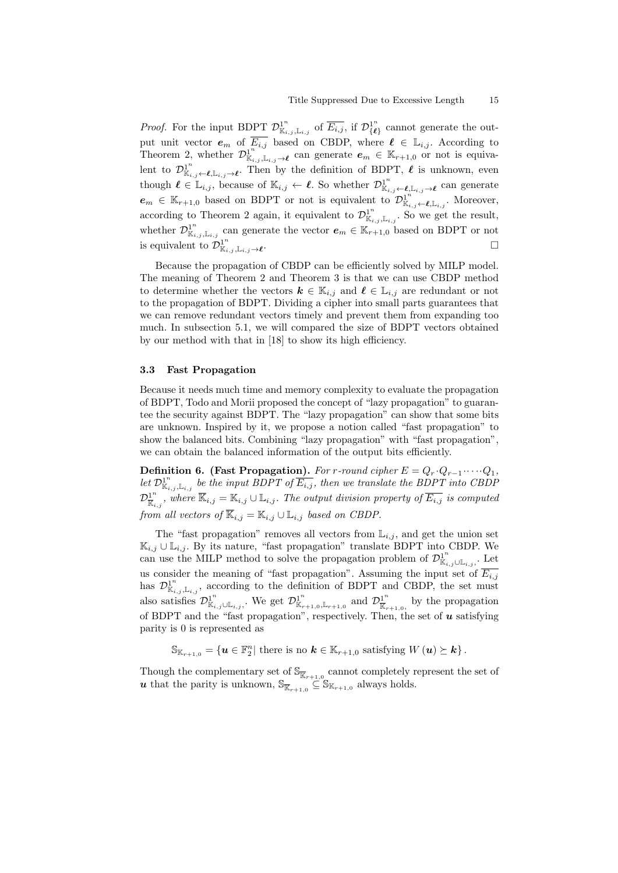*Proof.* For the input BDPT  $\mathcal{D}_{\mathbb{K}_{i,j},\mathbb{L}_{i,j}}^{1^n}$  of  $\overline{E_{i,j}}$ , if  $\mathcal{D}_{\{\ell\}}^{1^n}$  $\left\{ \ell \right\}$  cannot generate the output unit vector  $e_m$  of  $\overline{E_{i,j}}$  based on CBDP, where  $\ell \in \mathbb{L}_{i,j}$ . According to Theorem 2, whether  $\mathcal{D}^1_{\mathbb{K}_{i,j},\mathbb{L}_{i,j}\to\ell}$  can generate  $e_m \in \mathbb{K}_{r+1,0}$  or not is equivalent to  $\mathcal{D}^{1^n}_{\mathbb{K}_{i,j}}$  ←  $\ell$ ,  $\mathbb{L}_{i,j}$  →  $\ell$ . Then by the definition of BDPT,  $\ell$  is unknown, even though  $\ell \in \mathbb{L}_{i,j}$ , because of  $\mathbb{K}_{i,j} \leftarrow \ell$ . So whether  $\mathcal{D}^{\mathbb{1}^n}_{\mathbb{K}_{i,j} \leftarrow \ell, \mathbb{L}_{i,j} \rightarrow \ell}$  can generate  $e_m \in \mathbb{K}_{r+1,0}$  based on BDPT or not is equivalent to  $\mathcal{D}^{\mathbf{1}^n}_{\mathbb{K}_{i,j} \leftarrow \ell, \mathbb{L}_{i,j}}$ . Moreover, according to Theorem 2 again, it equivalent to  $\mathcal{D}_{\mathbb{K}_{i,j},\mathbb{L}_{i,j}}^{\mathbb{1}^n}$ . So we get the result, whether  $\mathcal{D}_{\mathbb{K}_{i,j},\mathbb{L}_{i,j}}^{1^n}$  can generate the vector  $e_m \in \mathbb{K}_{r+1,0}$  based on BDPT or not is equivalent to  $\mathcal{D}^{1^n}_{\mathbb{K}_{i,j},\mathbb{L}_{i,j}\to\ell}$ .

Because the propagation of CBDP can be efficiently solved by MILP model. The meaning of Theorem 2 and Theorem 3 is that we can use CBDP method to determine whether the vectors  $k \in \mathbb{K}_{i,j}$  and  $\ell \in \mathbb{L}_{i,j}$  are redundant or not to the propagation of BDPT. Dividing a cipher into small parts guarantees that we can remove redundant vectors timely and prevent them from expanding too much. In subsection 5.1, we will compared the size of BDPT vectors obtained by our method with that in [18] to show its high efficiency.

### **3.3 Fast Propagation**

Because it needs much time and memory complexity to evaluate the propagation of BDPT, Todo and Morii proposed the concept of "lazy propagation" to guarantee the security against BDPT. The "lazy propagation" can show that some bits are unknown. Inspired by it, we propose a notion called "fast propagation" to show the balanced bits. Combining "lazy propagation" with "fast propagation", we can obtain the balanced information of the output bits efficiently.

**Definition 6. (Fast Propagation).** *For r-round cipher*  $E = Q_r \cdot Q_{r-1} \cdot \cdots \cdot Q_1$ *, let*  $\mathcal{D}_{\mathbb{K}_{i,j},\mathbb{L}_{i,j}}^{\mathbb{I}^n}$  *be the input BDPT of*  $\overline{E_{i,j}}$ *, then we translate the BDPT into CBDP*  ${\mathcal{D}}_{\overline{\overline{\mathbb{K}}}}^{1^n}$  $\frac{1}{\mathbb{K}_{i,j}}$ , where  $\mathbb{K}_{i,j} = \mathbb{K}_{i,j} \cup \mathbb{L}_{i,j}$ . The output division property of  $E_{i,j}$  is computed *from all vectors of*  $\overline{\mathbb{K}}_{i,j} = \mathbb{K}_{i,j} \cup \mathbb{L}_{i,j}$  *based on CBDP*.

The "fast propagation" removes all vectors from  $\mathbb{L}_{i,j}$ , and get the union set K*i,j ∪* L*i,j* . By its nature, "fast propagation" translate BDPT into CBDP. We can use the MILP method to solve the propagation problem of  $\mathcal{D}^{1^n}_{\mathbb{K}_{i,j}\cup\mathbb{L}_{i,j}}$ , Let us consider the meaning of "fast propagation". Assuming the input set of  $\overline{E_{i,j}}$ has  $\mathcal{D}^{1^n}_{\mathbb{K}_{i,j},\mathbb{L}_{i,j}}$ , according to the definition of BDPT and CBDP, the set must also satisfies  $\mathcal{D}_{\mathbb{K}_{i,j}\cup\mathbb{L}_{i,j}}^1$ . We get  $\mathcal{D}_{\mathbb{K}_{r+1,0},\mathbb{L}_{r+1,0}}^1$  and  $\mathcal{D}_{\mathbb{K}_r}^1$  $\frac{1}{\mathbb{K}}_{r+1,0}$ , by the propagation of BDPT and the "fast propagation", respectively. Then, the set of *u* satisfying parity is 0 is represented as

 $\mathbb{S}_{\mathbb{K}_{r+1,0}} = \{\mathbf{u} \in \mathbb{F}_2^n | \text{ there is no } \mathbf{k} \in \mathbb{K}_{r+1,0} \text{ satisfying } W(\mathbf{u}) \succeq \mathbf{k}\}.$ 

Though the complementary set of  $\mathbb{S}_{\overline{\mathbb{K}}_{r+1,0}}$  cannot completely represent the set of *u* that the parity is unknown,  $\mathbb{S}_{\overline{\mathbb{K}}_{r+1,0}} \subseteq \mathbb{S}_{\mathbb{K}_{r+1,0}}$  always holds.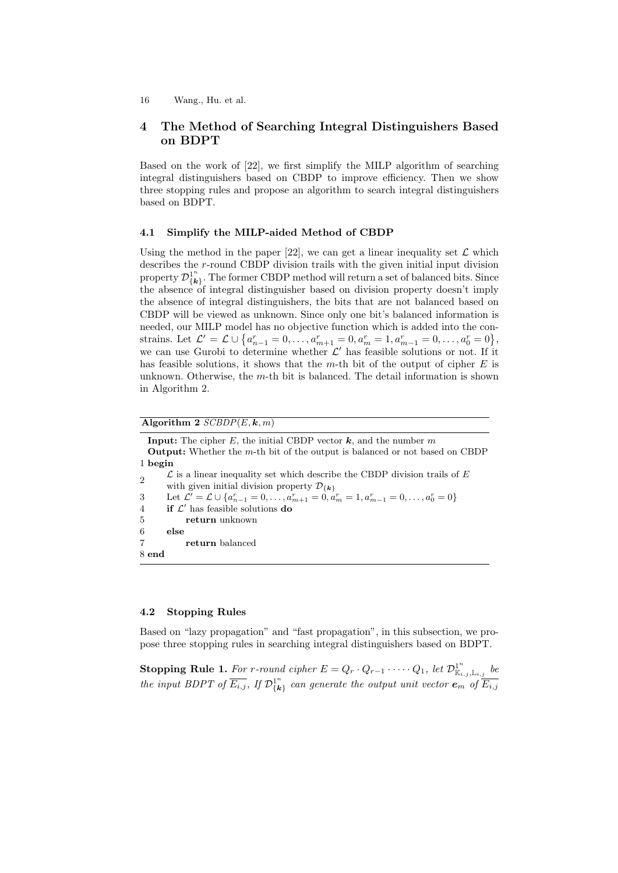# **4 The Method of Searching Integral Distinguishers Based on BDPT**

Based on the work of [22], we first simplify the MILP algorithm of searching integral distinguishers based on CBDP to improve efficiency. Then we show three stopping rules and propose an algorithm to search integral distinguishers based on BDPT.

### **4.1 Simplify the MILP-aided Method of CBDP**

Using the method in the paper  $[22]$ , we can get a linear inequality set  $\mathcal L$  which describes the *r*-round CBDP division trails with the given initial input division property  $\mathcal{D}_{I\bm{k}}^{1^n}$  $\{k\}$ . The former CBDP method will return a set of balanced bits. Since the absence of integral distinguisher based on division property doesn't imply the absence of integral distinguishers, the bits that are not balanced based on CBDP will be viewed as unknown. Since only one bit's balanced information is needed, our MILP model has no objective function which is added into the constrains. Let  $\mathcal{L}' = \mathcal{L} \cup \{a_{n-1}^r = 0, \ldots, a_{m+1}^r = 0, a_m^r = 1, a_{m-1}^r = 0, \ldots, a_0^r = 0\},$ we can use Gurobi to determine whether  $\mathcal{L}'$  has feasible solutions or not. If it has feasible solutions, it shows that the *m*-th bit of the output of cipher *E* is unknown. Otherwise, the *m*-th bit is balanced. The detail information is shown in Algorithm 2.

 $\overline{\text{Algorithm 2 } SCBDP(E, \mathbf{k}, m)}$ 

**Input:** The cipher  $E$ , the initial CBDP vector  $k$ , and the number  $m$ **Output:** Whether the *m*-th bit of the output is balanced or not based on CBDP 1 **begin** 2  $\mathcal L$  is a linear inequality set which describe the CBDP division trails of  $E$ with given initial division property  $\mathcal{D}_{\{\mathbf{k}\}}$ 3 Let  $\mathcal{L}' = \mathcal{L} \cup \{a_{n-1}^r = 0, \ldots, a_{m+1}^r = 0, a_m^r = 1, a_{m-1}^r = 0, \ldots, a_0^r = 0\}$ 4 **if** *L ′* has feasible solutions **do** 5 **return** unknown 6 **else** 7 **return** balanced 8 **end**

### **4.2 Stopping Rules**

Based on "lazy propagation" and "fast propagation", in this subsection, we propose three stopping rules in searching integral distinguishers based on BDPT.

**Stopping Rule 1.** For r-round cipher  $E = Q_r \cdot Q_{r-1} \cdot \cdots \cdot Q_1$ , let  $\mathcal{D}^{1^n}_{\mathbb{K}_{i,j}, \mathbb{L}_{i,j}}$  be *the input BDPT of*  $\overline{E_{i,j}}$ *, If*  $\mathcal{D}_{i,k}^{1^n}$  $\{k\}$ <sup>1"</sup> *can generate the output unit vector*  $e_m$  *of*  $\overline{E_{i,j}}$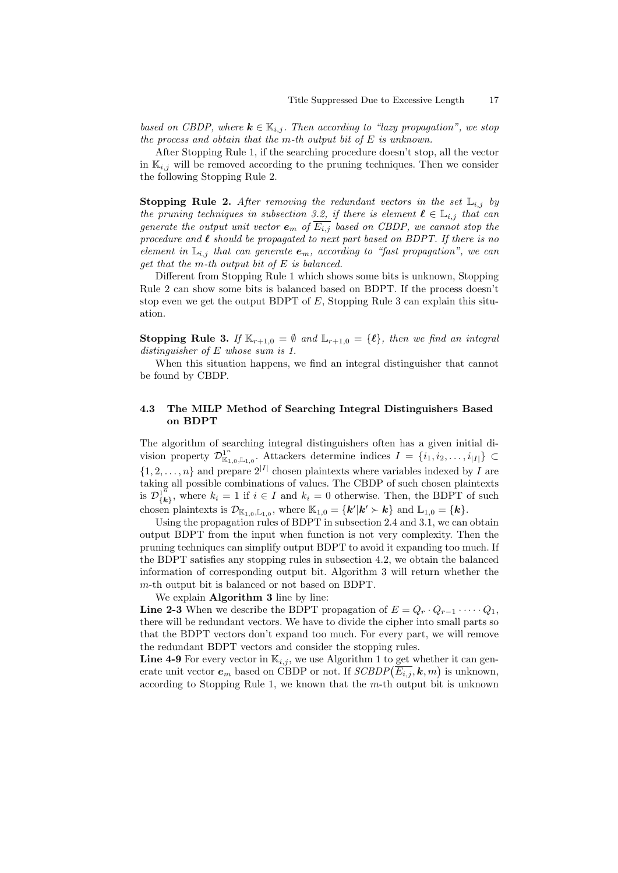*based on CBDP, where*  $\mathbf{k} \in \mathbb{K}_{i,j}$ . Then according to "lazy propagation", we stop *the process and obtain that the m-th output bit of E is unknown.*

After Stopping Rule 1, if the searching procedure doesn't stop, all the vector in  $\mathbb{K}_{i,j}$  will be removed according to the pruning techniques. Then we consider the following Stopping Rule 2.

**Stopping Rule 2.** After removing the redundant vectors in the set  $\mathbb{L}_{i,j}$  by *the pruning techniques in subsection 3.2, if there is element*  $\ell \in \mathbb{L}_{i,j}$  *that can generate the output unit vector*  $e_m$  *of*  $E_{i,j}$  *based on CBDP, we cannot stop the procedure and ℓ should be propagated to next part based on BDPT. If there is no element in*  $\mathbb{L}_{i,j}$  *that can generate*  $e_m$ *, according to "fast propagation", we can get that the m-th output bit of E is balanced.*

Different from Stopping Rule 1 which shows some bits is unknown, Stopping Rule 2 can show some bits is balanced based on BDPT. If the process doesn't stop even we get the output BDPT of *E*, Stopping Rule 3 can explain this situation.

**Stopping Rule 3.** *If*  $\mathbb{K}_{r+1,0} = \emptyset$  *and*  $\mathbb{L}_{r+1,0} = \{\ell\}$ *, then we find an integral distinguisher of E whose sum is 1.*

When this situation happens, we find an integral distinguisher that cannot be found by CBDP.

### **4.3 The MILP Method of Searching Integral Distinguishers Based on BDPT**

The algorithm of searching integral distinguishers often has a given initial division property  $\mathcal{D}_{\mathbb{K}_{1,0},\mathbb{L}_{1,0}}^1$ . Attackers determine indices  $I = \{i_1, i_2, \ldots, i_{|I|}\} \subset$  $\{1, 2, \ldots, n\}$  and prepare  $2^{|I|}$  chosen plaintexts where variables indexed by *I* are taking all possible combinations of values. The CBDP of such chosen plaintexts is  $\mathcal{D}^{1^{\breve{n}}}_{\{ \bm{k} }$  $\{k_i\}$ , where  $k_i = 1$  if  $i \in I$  and  $k_i = 0$  otherwise. Then, the BDPT of such chosen plaintexts is  $\mathcal{D}_{\mathbb{K}_{1,0},\mathbb{L}_{1,0}}$ , where  $\mathbb{K}_{1,0} = \{k' | k' \succ k\}$  and  $\mathbb{L}_{1,0} = \{k\}$ .

Using the propagation rules of BDPT in subsection 2.4 and 3.1, we can obtain output BDPT from the input when function is not very complexity. Then the pruning techniques can simplify output BDPT to avoid it expanding too much. If the BDPT satisfies any stopping rules in subsection 4.2, we obtain the balanced information of corresponding output bit. Algorithm 3 will return whether the *m*-th output bit is balanced or not based on BDPT.

We explain **Algorithm 3** line by line:

**Line 2-3** When we describe the BDPT propagation of  $E = Q_r \cdot Q_{r-1} \cdot \cdots \cdot Q_1$ , there will be redundant vectors. We have to divide the cipher into small parts so that the BDPT vectors don't expand too much. For every part, we will remove the redundant BDPT vectors and consider the stopping rules.

**Line 4-9** For every vector in  $\mathbb{K}_{i,j}$ , we use Algorithm 1 to get whether it can generate unit vector  $e_m$  based on CBDP or not. If  $SCBDP(\overline{E_{i,j}}, \mathbf{k}, m)$  is unknown, according to Stopping Rule 1, we known that the *m*-th output bit is unknown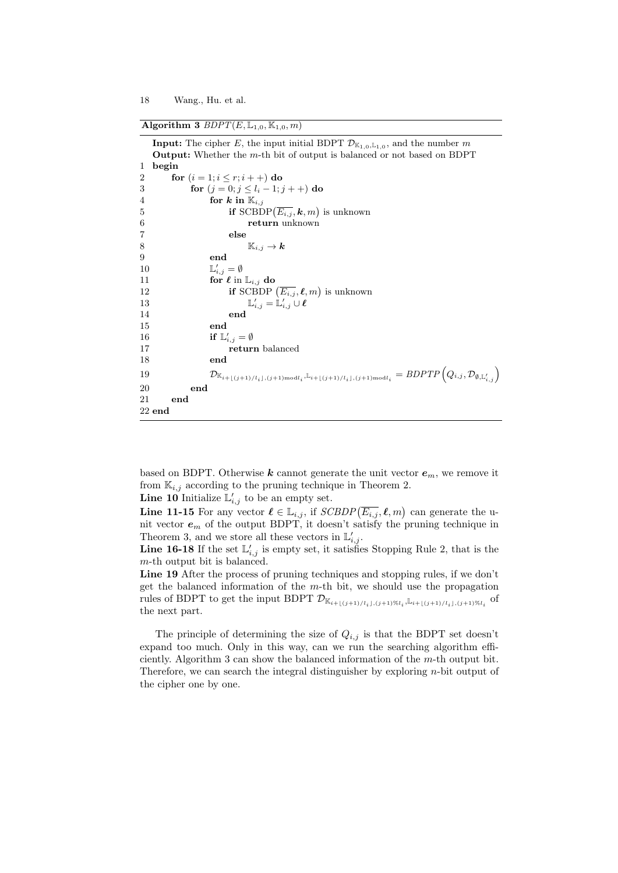$\overline{\text{Algorithm 3 } BDPT(E, \mathbb{L}_{1,0}, \mathbb{K}_{1,0}, m)}$ 

**Input:** The cipher *E*, the input initial BDPT  $\mathcal{D}_{K_{1,0},L_{1,0}}$ , and the number *m* **Output:** Whether the *m*-th bit of output is balanced or not based on BDPT 1 **begin** 2 **for**  $(i = 1; i \leq r; i++)$  **do** 3 **for**  $(i = 0; j \le l_i - 1; j + j)$  **do** 4 **for**  $k$  in  $\mathbb{K}_{i,j}$ 5 **if** SCBDP( $\overline{E_{i,j}}$ ,  $\boldsymbol{k}, m$ ) is unknown 6 **return** unknown 7 **else** 8  $\mathbb{K}_{i,j} \to \mathbf{k}$ <br>9 end 9 **end** 10 L  $y'_{i,j} = \emptyset$ 11 **for**  $\ell$  in  $\mathbb{L}_{i,j}$  **do**<br>12 **if** SCBDP 12 **if** SCBDP  $(\overline{E_{i,j}}, \ell, m)$  is unknown  $13$  L  $\mathcal{L}_{i,j}^{'} = \mathbb{L}_{i,j}^{\prime} \cup \boldsymbol{\ell}$ 14 **end** 15 **end** 16 **if**  $\mathbb{L}'_{i,j} = \emptyset$ 17 **return** balanced 18 **end** 19  $\mathcal{D}_{\mathbb{K}_{i+\lfloor (j+1)/l_i \rfloor, (j+1) \text{mod} l_i}, \mathbb{L}_{i+\lfloor (j+1)/l_i \rfloor, (j+1) \text{mod} l_i}} = BDPTP(Q_{i,j}, \mathcal{D}_{\emptyset, \mathbb{L}'_{i,j}})$ 20 **end** 21 **end** 22 **end**

based on BDPT. Otherwise  $k$  cannot generate the unit vector  $e_m$ , we remove it from  $\mathbb{K}_{i,j}$  according to the pruning technique in Theorem 2.

**Line 10** Initialize  $\mathbb{L}'_{i,j}$  to be an empty set.

**Line 11-15** For any vector  $\ell \in \mathbb{L}_{i,j}$ , if  $SCBDP(\overline{E_{i,j}}, \ell, m)$  can generate the unit vector *e<sup>m</sup>* of the output BDPT, it doesn't satisfy the pruning technique in Theorem 3, and we store all these vectors in  $\mathbb{L}'_{i,j}$ .

**Line 16-18** If the set  $\mathbb{L}'_{i,j}$  is empty set, it satisfies Stopping Rule 2, that is the *m*-th output bit is balanced.

Line 19 After the process of pruning techniques and stopping rules, if we don't get the balanced information of the *m*-th bit, we should use the propagation rules of BDPT to get the input BDPT  $\mathcal{D}_{\mathbb{K}_{i+\lfloor (j+1)/l_i \rfloor, (j+1)} \otimes l_i}$ ,  $\mathbb{L}_{i+\lfloor (j+1)/l_i \rfloor, (j+1) \otimes l_i}$  of the next part.

The principle of determining the size of  $Q_{i,j}$  is that the BDPT set doesn't expand too much. Only in this way, can we run the searching algorithm efficiently. Algorithm 3 can show the balanced information of the *m*-th output bit. Therefore, we can search the integral distinguisher by exploring *n*-bit output of the cipher one by one.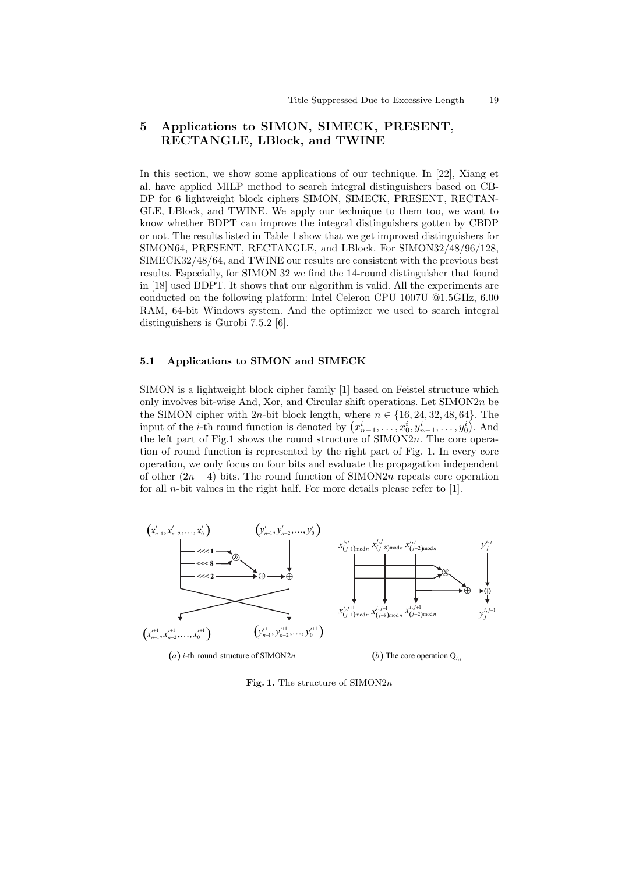# **5 Applications to SIMON, SIMECK, PRESENT, RECTANGLE, LBlock, and TWINE**

In this section, we show some applications of our technique. In [22], Xiang et al. have applied MILP method to search integral distinguishers based on CB-DP for 6 lightweight block ciphers SIMON, SIMECK, PRESENT, RECTAN-GLE, LBlock, and TWINE. We apply our technique to them too, we want to know whether BDPT can improve the integral distinguishers gotten by CBDP or not. The results listed in Table 1 show that we get improved distinguishers for SIMON64, PRESENT, RECTANGLE, and LBlock. For SIMON32/48/96/128, SIMECK32/48/64, and TWINE our results are consistent with the previous best results. Especially, for SIMON 32 we find the 14-round distinguisher that found in [18] used BDPT. It shows that our algorithm is valid. All the experiments are conducted on the following platform: Intel Celeron CPU 1007U @1.5GHz, 6.00 RAM, 64-bit Windows system. And the optimizer we used to search integral distinguishers is Gurobi 7.5.2 [6].

#### **5.1 Applications to SIMON and SIMECK**

SIMON is a lightweight block cipher family [1] based on Feistel structure which only involves bit-wise And, Xor, and Circular shift operations. Let SIMON2*n* be the SIMON cipher with 2*n*-bit block length, where  $n \in \{16, 24, 32, 48, 64\}$ . The input of the *i*-th round function is denoted by  $(x_{n-1}^i, \ldots, x_0^i, y_{n-1}^i, \ldots, y_0^i)$ . And the left part of Fig.1 shows the round structure of SIMON2*n*. The core operation of round function is represented by the right part of Fig. 1. In every core operation, we only focus on four bits and evaluate the propagation independent of other (2*n −* 4) bits. The round function of SIMON2*n* repeats core operation for all *n*-bit values in the right half. For more details please refer to [1].



(a) *i*-th round structure of SIMON2*n* (*b*) The core operation  $Q_i$ 

#### **Fig. 1.** The structure of SIMON2*n*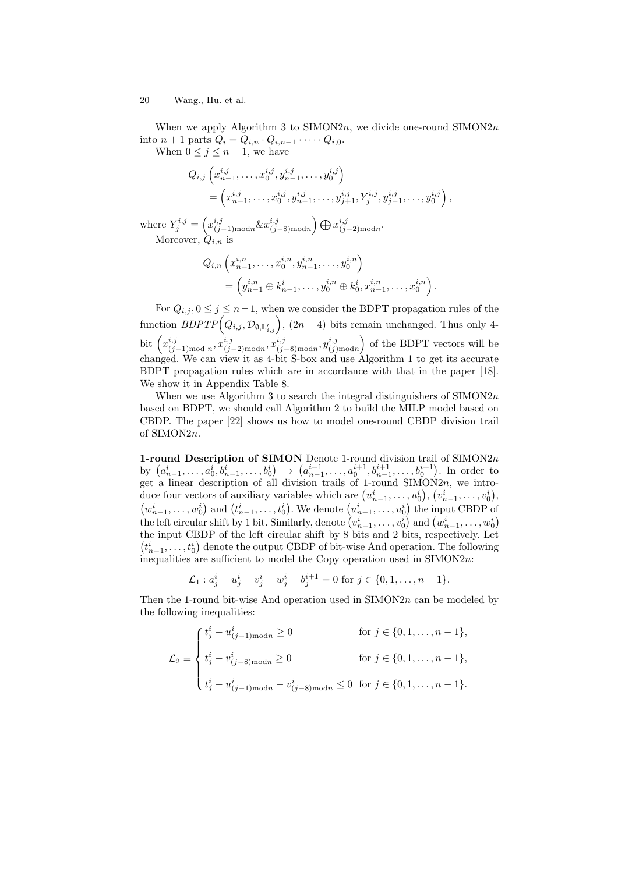When we apply Algorithm 3 to SIMON2*n*, we divide one-round SIMON2*n* into *n* + 1 parts  $Q_i = Q_{i,n} \cdot Q_{i,n-1} \cdot \cdots \cdot Q_{i,0}$ .

When  $0 \leq j \leq n-1$ , we have

$$
Q_{i,j}\left(x_{n-1}^{i,j},\ldots,x_0^{i,j},y_{n-1}^{i,j},\ldots,y_0^{i,j}\right) = \left(x_{n-1}^{i,j},\ldots,x_0^{i,j},y_{n-1}^{i,j},\ldots,y_{j+1}^{i,j},Y_j^{i,j},y_{j-1}^{i,j},\ldots,y_0^{i,j}\right),
$$

where  $Y_j^{i,j} = \left( x_{(j-1) \text{mod} n}^{i,j} \& x_{(j)}^{i,j} \right)$ (*j−*8)mod*n* )⊕*<sup>x</sup> i,j* (*j−*2)mod*n* . Moreover, *Qi,n* is

$$
Q_{i,n}\left(x_{n-1}^{i,n},\ldots,x_0^{i,n},y_{n-1}^{i,n},\ldots,y_0^{i,n}\right) = \left(y_{n-1}^{i,n} \oplus k_{n-1}^i,\ldots,y_0^{i,n} \oplus k_0^i,x_{n-1}^{i,n},\ldots,x_0^{i,n}\right).
$$

For  $Q_{i,j}$ ,  $0 \leq j \leq n-1$ , when we consider the BDPT propagation rules of the  $\text{function } BDPTP(Q_{i,j}, \mathcal{D}_{\emptyset, \mathbb{L}'_{i,j}}), (2n-4) \text{ bits remain unchanged. Thus only 4$ bit  $\left(x_{ij}^{i,j}\right)$  $(i,j$ <sub>(j−1)mod *n*</sub>,  $x_{(j)}^{i,j}$  $(i,j$ <sub>(j−2)</sub>mod*n*</sub>,  $x_{(j)}^{i,j}$ (*j−*8)mod*n , y i,j* (*j*)mod*n* ) of the BDPT vectors will be changed. We can view it as 4-bit S-box and use Algorithm 1 to get its accurate BDPT propagation rules which are in accordance with that in the paper [18]. We show it in Appendix Table 8.

When we use Algorithm 3 to search the integral distinguishers of SIMON2*n* based on BDPT, we should call Algorithm 2 to build the MILP model based on CBDP. The paper [22] shows us how to model one-round CBDP division trail of SIMON2*n*.

**1-round Description of SIMON** Denote 1-round division trail of SIMON2*n* by  $(a_{n-1}^i, \ldots, a_0^i, b_{n-1}^i, \ldots, b_0^i) \rightarrow (a_{n-1}^{i+1}, \ldots, a_0^{i+1}, b_{n-1}^{i+1}, \ldots, b_0^{i+1}).$  In order to get a linear description of all division trails of 1-round SIMON2*n*, we introduce four vectors of auxiliary variables which are  $(u_{n-1}^i, \ldots, u_0^i), (v_{n-1}^i, \ldots, v_0^i),$  $(w_{n-1}^i, \ldots, w_0^i)$  and  $(t_{n-1}^i, \ldots, t_0^i)$ . We denote  $(u_{n-1}^i, \ldots, u_0^i)$  the input CBDP of the left circular shift by 1 bit. Similarly, denote  $\left(v_{n-1}^i, \ldots, v_0^i\right)$  and  $\left(w_{n-1}^i, \ldots, w_0^i\right)$ the input CBDP of the left circular shift by 8 bits and 2 bits, respectively. Let  $(t_{n-1}^i, \ldots, t_0^i)$  denote the output CBDP of bit-wise And operation. The following inequalities are sufficient to model the Copy operation used in SIMON2*n*:

$$
\mathcal{L}_1: a_j^i - u_j^i - v_j^i - w_j^i - b_j^{i+1} = 0 \text{ for } j \in \{0, 1, \dots, n-1\}.
$$

Then the 1-round bit-wise And operation used in SIMON2*n* can be modeled by the following inequalities:

$$
\mathcal{L}_2 = \begin{cases} t_j^i - u_{(j-1)\text{mod}n}^i \ge 0 & \text{for } j \in \{0, 1, \dots, n-1\}, \\ t_j^i - v_{(j-8)\text{mod}n}^i \ge 0 & \text{for } j \in \{0, 1, \dots, n-1\}, \\ t_j^i - u_{(j-1)\text{mod}n}^i - v_{(j-8)\text{mod}n}^i \le 0 & \text{for } j \in \{0, 1, \dots, n-1\}. \end{cases}
$$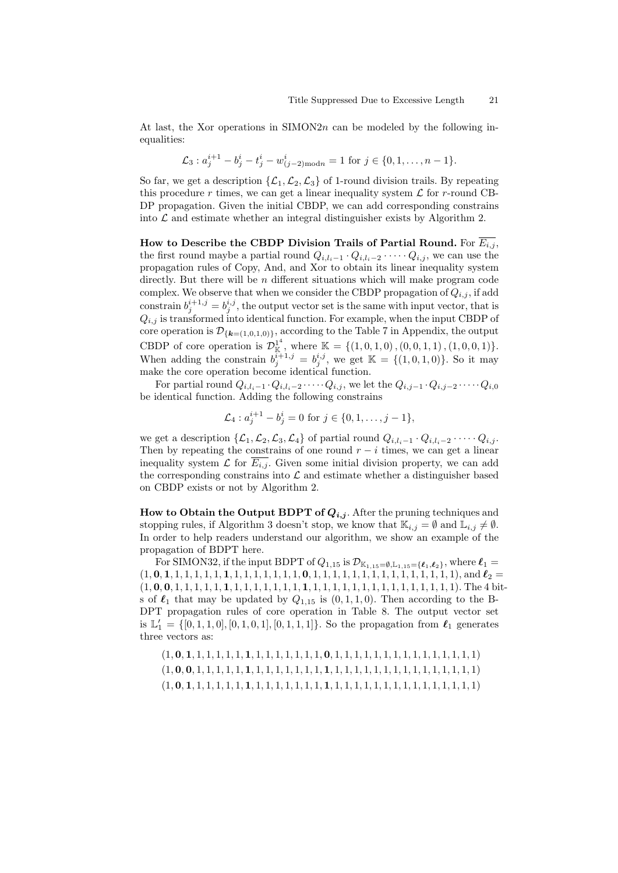At last, the Xor operations in SIMON2*n* can be modeled by the following inequalities:

$$
\mathcal{L}_3: a_j^{i+1} - b_j^i - t_j^i - w_{(j-2)\text{mod }n}^i = 1 \text{ for } j \in \{0, 1, \dots, n-1\}.
$$

So far, we get a description  $\{\mathcal{L}_1, \mathcal{L}_2, \mathcal{L}_3\}$  of 1-round division trails. By repeating this procedure  $r$  times, we can get a linear inequality system  $\mathcal L$  for  $r$ -round CB-DP propagation. Given the initial CBDP, we can add corresponding constrains into  $\mathcal L$  and estimate whether an integral distinguisher exists by Algorithm 2.

**How to Describe the CBDP Division Trails of Partial Round.** For  $\overline{E_{i,j}}$ , the first round maybe a partial round  $Q_{i,l_i-1} \cdot Q_{i,l_i-2} \cdot \cdots \cdot Q_{i,j}$ , we can use the propagation rules of Copy, And, and Xor to obtain its linear inequality system directly. But there will be *n* different situations which will make program code complex. We observe that when we consider the CBDP propagation of  $Q_{i,j}$ , if add constrain  $b_j^{i+1,j} = b_j^{i,j}$ , the output vector set is the same with input vector, that is  $Q_{i,j}$  is transformed into identical function. For example, when the input CBDP of core operation is  $\mathcal{D}_{\{\mathbf{k}=(1,0,1,0)\}}$ , according to the Table 7 in Appendix, the output CBDP of core operation is  $\mathcal{D}_{\mathbb{K}}^{1^4}$  $\mathbb{K} = \{ (1, 0, 1, 0), (0, 0, 1, 1), (1, 0, 0, 1) \}.$ When adding the constrain  $b_j^{i+1,j} = b_j^{i,j}$ , we get  $\mathbb{K} = \{(1,0,1,0)\}$ . So it may make the core operation become identical function.

For partial round  $Q_{i,l_i-1} \cdot Q_{i,l_i-2} \cdot \cdots \cdot Q_{i,j}$ , we let the  $Q_{i,j-1} \cdot Q_{i,j-2} \cdot \cdots \cdot Q_{i,0}$ be identical function. Adding the following constrains

$$
\mathcal{L}_4: a_j^{i+1} - b_j^i = 0 \text{ for } j \in \{0, 1, \dots, j-1\},\
$$

we get a description  $\{\mathcal{L}_1, \mathcal{L}_2, \mathcal{L}_3, \mathcal{L}_4\}$  of partial round  $Q_{i,l_i-1} \cdot Q_{i,l_i-2} \cdot \cdots \cdot Q_{i,j}$ . Then by repeating the constrains of one round  $r - i$  times, we can get a linear inequality system  $\mathcal L$  for  $\overline{E_{i,j}}$ . Given some initial division property, we can add the corresponding constrains into  $\mathcal L$  and estimate whether a distinguisher based on CBDP exists or not by Algorithm 2.

**How to Obtain the Output BDPT of** *Qi,j* . After the pruning techniques and stopping rules, if Algorithm 3 doesn't stop, we know that  $\mathbb{K}_{i,j} = \emptyset$  and  $\mathbb{L}_{i,j} \neq \emptyset$ . In order to help readers understand our algorithm, we show an example of the propagation of BDPT here.

For SIMON32, if the input BDPT of  $Q_{1,15}$  is  $\mathcal{D}_{\mathbb{K}_{1,15}=\emptyset,\mathbb{L}_{1,15}=\{\ell_1,\ell_2\}}$ , where  $\ell_1$ (1*,* **0***,* **1***,* 1*,* 1*,* 1*,* 1*,* 1*,* **1***,* 1*,* 1*,* 1*,* 1*,* 1*,* 1*,* 1*,* **0***,* 1*,* 1*,* 1*,* 1*,* 1*,* 1*,* 1*,* 1*,* 1*,* 1*,* 1*,* 1*,* 1*,* 1*,* 1), and *ℓ*<sup>2</sup> = (1*,* **0***,* **0***,* 1*,* 1*,* 1*,* 1*,* 1*,* **1***,* 1*,* 1*,* 1*,* 1*,* 1*,* 1*,* 1*,* **1***,* 1*,* 1*,* 1*,* 1*,* 1*,* 1*,* 1*,* 1*,* 1*,* 1*,* 1*,* 1*,* 1*,* 1*,* 1). The 4 bits of  $\ell_1$  that may be updated by  $Q_{1,15}$  is  $(0,1,1,0)$ . Then according to the B-DPT propagation rules of core operation in Table 8. The output vector set is  $\mathbb{L}'_1 = \{ [0, 1, 1, 0], [0, 1, 0, 1], [0, 1, 1, 1] \}$ . So the propagation from  $\ell_1$  generates three vectors as: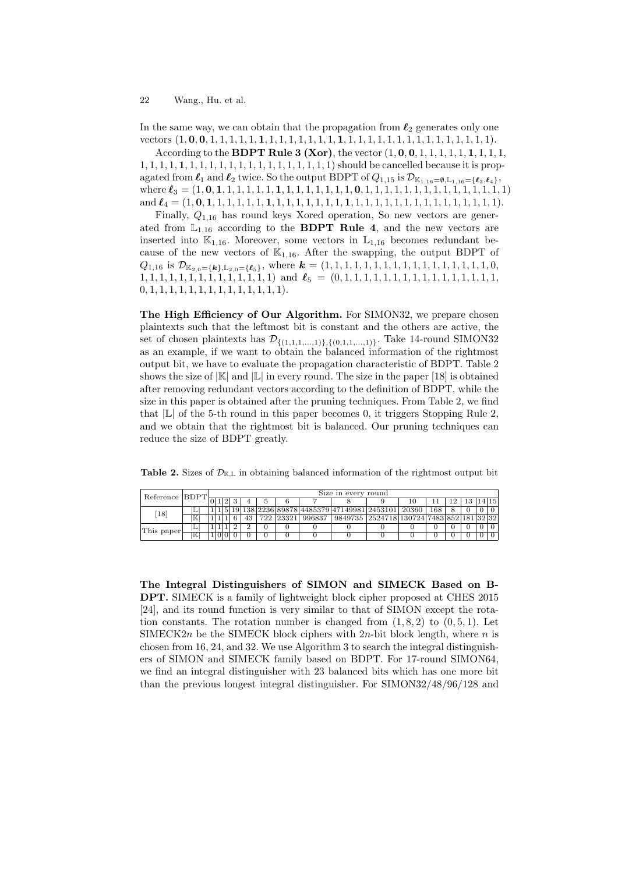In the same way, we can obtain that the propagation from *ℓ*<sup>2</sup> generates only one vectors (1*,* **0***,* **0***,* 1*,* 1*,* 1*,* 1*,* 1*,* **1***,* 1*,* 1*,* 1*,* 1*,* 1*,* 1*,* 1*,* **1***,* 1*,* 1*,* 1*,* 1*,* 1*,* 1*,* 1*,* 1*,* 1*,* 1*,* 1*,* 1*,* 1*,* 1*,* 1).

According to the **BDPT Rule 3 (Xor)**, the vector (1*,* **0***,* **0***,* 1*,* 1*,* 1*,* 1*,* 1*,* **1***,* 1*,* 1*,* 1*,* 1*,* 1*,* 1*,* 1*,* **1***,* 1*,* 1*,* 1*,* 1*,* 1*,* 1*,* 1*,* 1*,* 1*,* 1*,* 1*,* 1*,* 1*,* 1*,* 1) should be cancelled because it is propagated from  $\ell_1$  and  $\ell_2$  twice. So the output BDPT of  $Q_{1,15}$  is  $\mathcal{D}_{\mathbb{K}_{1,16}=\{\ell_3,\ell_4\}}$ , where *ℓ*<sup>3</sup> = (1*,* **0***,* **1***,* 1*,* 1*,* 1*,* 1*,* 1*,* **1***,* 1*,* 1*,* 1*,* 1*,* 1*,* 1*,* 1*,* **0***,* 1*,* 1*,* 1*,* 1*,* 1*,* 1*,* 1*,* 1*,* 1*,* 1*,* 1*,* 1*,* 1*,* 1*,* 1) and *ℓ*<sup>4</sup> = (1*,* **0***,* **1***,* 1*,* 1*,* 1*,* 1*,* 1*,* **1***,* 1*,* 1*,* 1*,* 1*,* 1*,* 1*,* 1*,* **1***,* 1*,* 1*,* 1*,* 1*,* 1*,* 1*,* 1*,* 1*,* 1*,* 1*,* 1*,* 1*,* 1*,* 1*,* 1).

Finally, *Q*1*,*<sup>16</sup> has round keys Xored operation, So new vectors are generated from  $L_{1,16}$  according to the **BDPT Rule 4**, and the new vectors are inserted into  $\mathbb{K}_{1,16}$ . Moreover, some vectors in  $\mathbb{L}_{1,16}$  becomes redundant because of the new vectors of  $\mathbb{K}_{1,16}$ . After the swapping, the output BDPT of  $Q_{1,16}$  is  $\mathcal{D}_{\mathbb{K}_{2,0}=\{\mathbf{k}\},\mathbb{L}_{2,0}=\{\mathbf{\ell}_5\}}$ , where  $\mathbf{k}=(1,1,1,1,1,1,1,1,1,1,1,1,1,1,1,1,1,0,1)$ 1*,* 1*,* 1*,* 1*,* 1*,* 1*,* 1*,* 1*,* 1*,* 1*,* 1*,* 1*,* 1*,* 1) and *ℓ*<sup>5</sup> = (0*,* 1*,* 1*,* 1*,* 1*,* 1*,* 1*,* 1*,* 1*,* 1*,* 1*,* 1*,* 1*,* 1*,* 1*,* 1*,* 1*,* 0*,* 1*,* 1*,* 1*,* 1*,* 1*,* 1*,* 1*,* 1*,* 1*,* 1*,* 1*,* 1*,* 1*,* 1).

**The High Efficiency of Our Algorithm.** For SIMON32, we prepare chosen plaintexts such that the leftmost bit is constant and the others are active, the set of chosen plaintexts has  $\mathcal{D}_{\{(1,1,1,...,1)\},\{(0,1,1,...,1)\}}$ . Take 14-round SIMON32 as an example, if we want to obtain the balanced information of the rightmost output bit, we have to evaluate the propagation characteristic of BDPT. Table 2 shows the size of  $|\mathbb{K}|$  and  $|\mathbb{L}|$  in every round. The size in the paper [18] is obtained after removing redundant vectors according to the definition of BDPT, while the size in this paper is obtained after the pruning techniques. From Table 2, we find that *|*L*|* of the 5-th round in this paper becomes 0, it triggers Stopping Rule 2, and we obtain that the rightmost bit is balanced. Our pruning techniques can reduce the size of BDPT greatly.

**Table 2.** Sizes of  $\mathcal{D}_{K,L}$  in obtaining balanced information of the rightmost output bit

| Reference BDPT |   | Size in every round |  |  |  |          |  |           |        |                                                      |  |  |     |    |         |  |
|----------------|---|---------------------|--|--|--|----------|--|-----------|--------|------------------------------------------------------|--|--|-----|----|---------|--|
|                |   |                     |  |  |  |          |  |           |        |                                                      |  |  |     | 13 | 14   15 |  |
| 18             |   |                     |  |  |  |          |  |           |        | 1 5 19 138 2236 89878 4485379 47149981 2453101 20360 |  |  | 168 |    |         |  |
|                |   |                     |  |  |  |          |  | 722 23321 | 996837 | 9849735 2524718 130724 7483 852 181 32 32            |  |  |     |    |         |  |
| This paper     |   |                     |  |  |  | $\Omega$ |  |           |        |                                                      |  |  |     |    |         |  |
|                | ĸ |                     |  |  |  |          |  |           |        |                                                      |  |  |     |    |         |  |

**The Integral Distinguishers of SIMON and SIMECK Based on B-DPT.** SIMECK is a family of lightweight block cipher proposed at CHES 2015 [24], and its round function is very similar to that of SIMON except the rotation constants. The rotation number is changed from  $(1, 8, 2)$  to  $(0, 5, 1)$ . Let SIMECK2*n* be the SIMECK block ciphers with 2*n*-bit block length, where *n* is chosen from 16, 24, and 32. We use Algorithm 3 to search the integral distinguishers of SIMON and SIMECK family based on BDPT. For 17-round SIMON64, we find an integral distinguisher with 23 balanced bits which has one more bit than the previous longest integral distinguisher. For SIMON32/48/96/128 and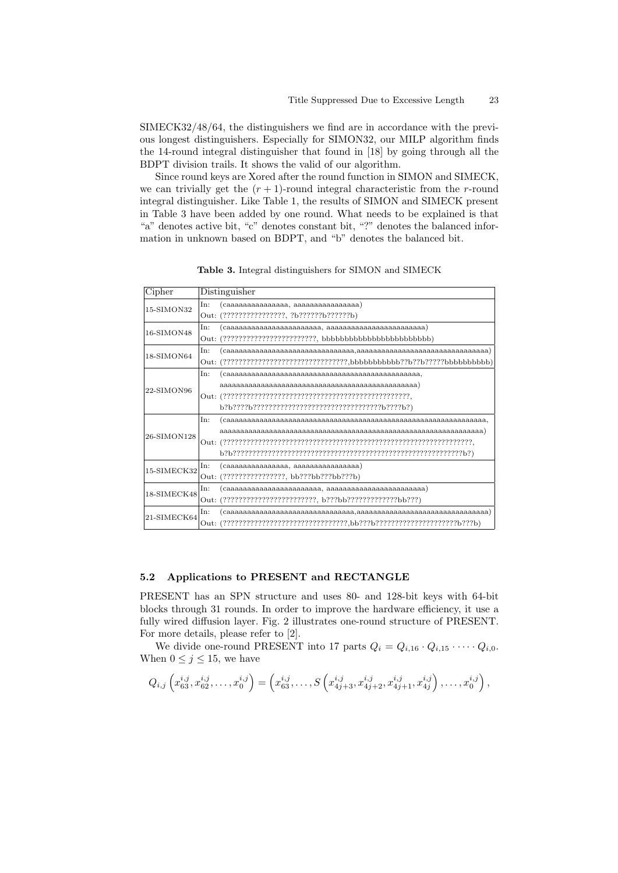SIMECK32/48/64, the distinguishers we find are in accordance with the previous longest distinguishers. Especially for SIMON32, our MILP algorithm finds the 14-round integral distinguisher that found in [18] by going through all the BDPT division trails. It shows the valid of our algorithm.

Since round keys are Xored after the round function in SIMON and SIMECK, we can trivially get the  $(r + 1)$ -round integral characteristic from the *r*-round integral distinguisher. Like Table 1, the results of SIMON and SIMECK present in Table 3 have been added by one round. What needs to be explained is that "a" denotes active bit, "c" denotes constant bit, "?" denotes the balanced information in unknown based on BDPT, and "b" denotes the balanced bit.

|      | Distinguisher                              |
|------|--------------------------------------------|
| In:  | (caaaaaaaaaaaaaaa, aaaaaaaaaaaaaaaaaaaa)   |
| Out: | (????????????????, ?b??????b??????b)       |
| In:  |                                            |
|      |                                            |
| In:  |                                            |
| Out: |                                            |
| In:  |                                            |
|      |                                            |
|      |                                            |
|      |                                            |
| In:  |                                            |
|      |                                            |
|      |                                            |
|      |                                            |
| In:  | (caaaaaaaaaaaaaa, aaaaaaaaaaaaaaaaa)       |
|      | Out: (?????????????????, bb???bb???bb???b) |
| In:  |                                            |
| Out: |                                            |
| In:  |                                            |
|      |                                            |
|      |                                            |

**Table 3.** Integral distinguishers for SIMON and SIMECK

### **5.2 Applications to PRESENT and RECTANGLE**

PRESENT has an SPN structure and uses 80- and 128-bit keys with 64-bit blocks through 31 rounds. In order to improve the hardware efficiency, it use a fully wired diffusion layer. Fig. 2 illustrates one-round structure of PRESENT. For more details, please refer to [2].

We divide one-round PRESENT into 17 parts  $Q_i = Q_{i,16} \cdot Q_{i,15} \cdot \cdots \cdot Q_{i,0}$ . When  $0 \leq j \leq 15$ , we have

$$
Q_{i,j}\left(x_{63}^{i,j},x_{62}^{i,j},\ldots,x_0^{i,j}\right)=\left(x_{63}^{i,j},\ldots,S\left(x_{4j+3}^{i,j},x_{4j+2}^{i,j},x_{4j+1}^{i,j},x_{4j}^{i,j}\right),\ldots,x_0^{i,j}\right),\,
$$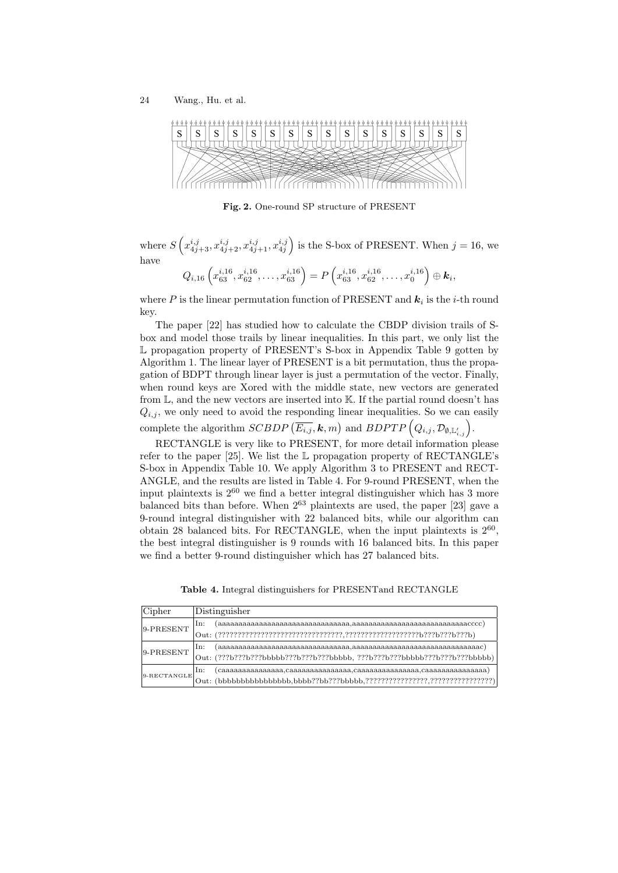

**Fig. 2.** One-round SP structure of PRESENT

where  $S\left(x_{4j+3}^{i,j}, x_{4j+2}^{i,j}, x_{4j+1}^{i,j}, x_{4j}^{i,j}\right)$  is the S-box of PRESENT. When  $j = 16$ , we have

$$
Q_{i,16}\left(x_{63}^{i,16},x_{62}^{i,16},\ldots,x_{63}^{i,16}\right)=P\left(x_{63}^{i,16},x_{62}^{i,16},\ldots,x_{0}^{i,16}\right)\oplus k_i,
$$

where  $P$  is the linear permutation function of PRESENT and  $k_i$  is the *i*-th round key.

The paper [22] has studied how to calculate the CBDP division trails of Sbox and model those trails by linear inequalities. In this part, we only list the L propagation property of PRESENT's S-box in Appendix Table 9 gotten by Algorithm 1. The linear layer of PRESENT is a bit permutation, thus the propagation of BDPT through linear layer is just a permutation of the vector. Finally, when round keys are Xored with the middle state, new vectors are generated from  $\mathbb{L}$ , and the new vectors are inserted into  $\mathbb{K}$ . If the partial round doesn't has  $Q_{i,j}$ , we only need to avoid the responding linear inequalities. So we can easily complete the algorithm  $SCBDP \left( \overline{E_{i,j}}, \mathbf{k}, m \right)$  and  $BDPTP \left( Q_{i,j}, \mathcal{D}_{\emptyset, \mathbb{L}'_{i,j}} \right)$ .

RECTANGLE is very like to PRESENT, for more detail information please refer to the paper [25]. We list the L propagation property of RECTANGLE's S-box in Appendix Table 10. We apply Algorithm 3 to PRESENT and RECT-ANGLE, and the results are listed in Table 4. For 9-round PRESENT, when the input plaintexts is  $2^{60}$  we find a better integral distinguisher which has 3 more balanced bits than before. When 2<sup>63</sup> plaintexts are used, the paper [23] gave a 9-round integral distinguisher with 22 balanced bits, while our algorithm can obtain 28 balanced bits. For RECTANGLE, when the input plaintexts is  $2^{60}$ , the best integral distinguisher is 9 rounds with 16 balanced bits. In this paper we find a better 9-round distinguisher which has 27 balanced bits.

**Table 4.** Integral distinguishers for PRESENTand RECTANGLE

| Cipher         | Distinguisher |
|----------------|---------------|
| 9-PRESENT      | In:           |
|                |               |
| 9-PRESENT      | In:           |
|                |               |
| $9$ -RECTANGLE | IIn:          |
|                |               |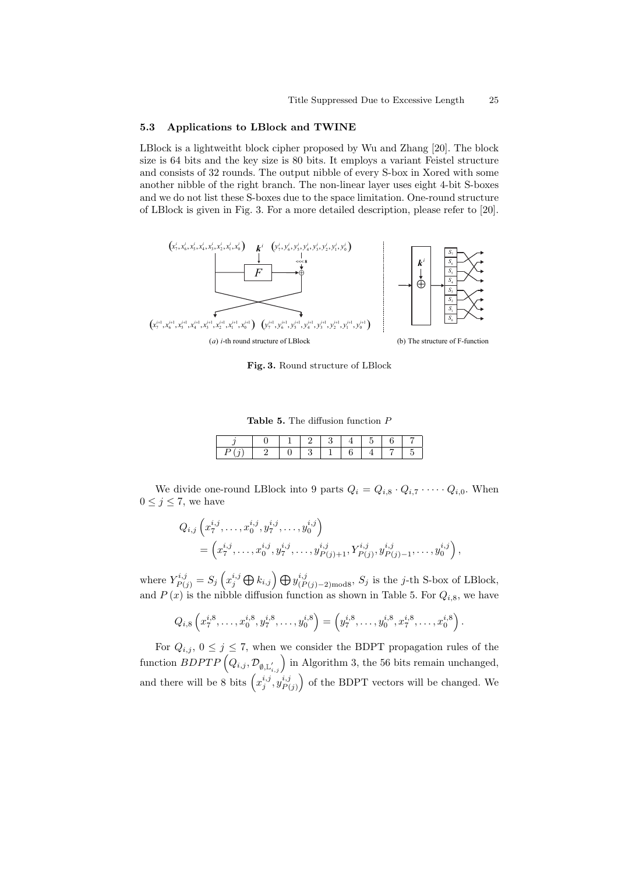#### **5.3 Applications to LBlock and TWINE**

LBlock is a lightweitht block cipher proposed by Wu and Zhang [20]. The block size is 64 bits and the key size is 80 bits. It employs a variant Feistel structure and consists of 32 rounds. The output nibble of every S-box in Xored with some another nibble of the right branch. The non-linear layer uses eight 4-bit S-boxes and we do not list these S-boxes due to the space limitation. One-round structure of LBlock is given in Fig. 3. For a more detailed description, please refer to [20].



**Fig. 3.** Round structure of LBlock

**Table 5.** The diffusion function *P*

|  |  |  | - |  |
|--|--|--|---|--|
|  |  |  |   |  |

We divide one-round LBlock into 9 parts  $Q_i = Q_{i,8} \cdot Q_{i,7} \cdot \cdots \cdot Q_{i,0}$ . When  $0 \leq j \leq 7$ , we have

$$
Q_{i,j}\left(x_7^{i,j},\ldots,x_0^{i,j},y_7^{i,j},\ldots,y_0^{i,j}\right) = \left(x_7^{i,j},\ldots,x_0^{i,j},y_7^{i,j},\ldots,y_{P(j)+1}^{i,j},Y_{P(j)}^{i,j},y_{P(j)-1}^{i,j},\ldots,y_0^{i,j}\right),
$$

where  $Y_{P(j)}^{i,j} = S_j \left( x_j^{i,j} \bigoplus k_{i,j} \right) \bigoplus y_{(P(j)-2) \text{mod} 8}^{i,j}, S_j$  is the j-th S-box of LBlock, and  $P(x)$  is the nibble diffusion function as shown in Table 5. For  $Q_{i,8}$ , we have

$$
Q_{i,8}\left(x_7^{i,8},\ldots,x_0^{i,8},y_7^{i,8},\ldots,y_0^{i,8}\right)=\left(y_7^{i,8},\ldots,y_0^{i,8},x_7^{i,8},\ldots,x_0^{i,8}\right).
$$

For  $Q_{i,j}$ ,  $0 \leq j \leq 7$ , when we consider the BDPT propagation rules of the  $\text{function } BDPTP\left(Q_{i,j}, \mathcal{D}_{\emptyset, \mathbb{L}_{i,j}^{'}}\right) \text{ in Algorithm 3, the 56 bits remain unchanged,}$ and there will be 8 bits  $\left(x_j^{i,j}, y_{P(}^{i,j})\right)$  $P(j)$ ) of the BDPT vectors will be changed. We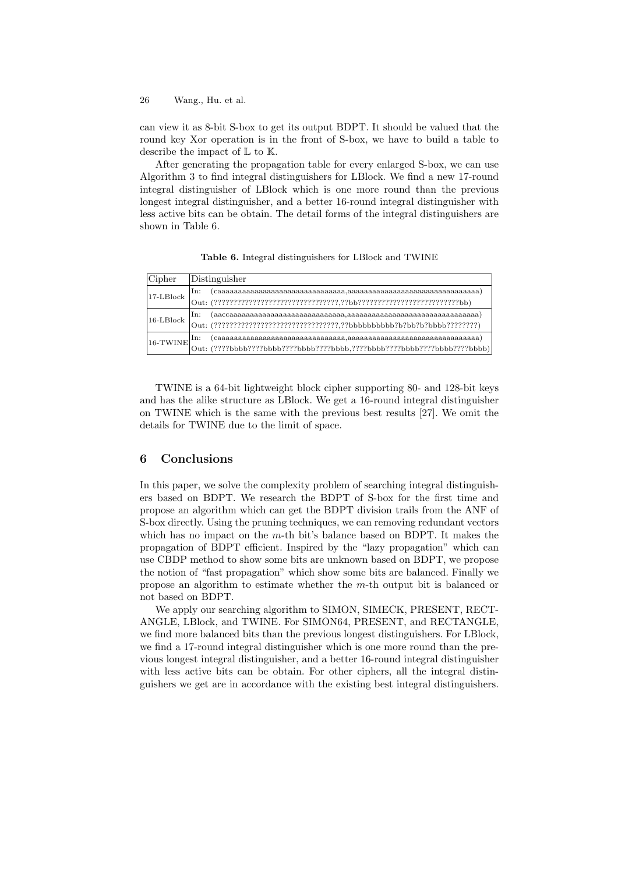can view it as 8-bit S-box to get its output BDPT. It should be valued that the round key Xor operation is in the front of S-box, we have to build a table to describe the impact of L to K.

After generating the propagation table for every enlarged S-box, we can use Algorithm 3 to find integral distinguishers for LBlock. We find a new 17-round integral distinguisher of LBlock which is one more round than the previous longest integral distinguisher, and a better 16-round integral distinguisher with less active bits can be obtain. The detail forms of the integral distinguishers are shown in Table 6.

**Table 6.** Integral distinguishers for LBlock and TWINE

| Cipher          | Distinguisher                                                                     |
|-----------------|-----------------------------------------------------------------------------------|
| $17-LBlock$     | In:                                                                               |
|                 | Out:                                                                              |
| $16$ -L $Block$ | In:                                                                               |
|                 | $(?????????????????????????????????????Bbbbbbbbbbb?b?b!b!b!b!??????????)$<br>Out: |
| $16$ -TWINE     | In:                                                                               |
|                 | $(????bbbb????bbbb????bbbb????bbbb.???cbbb????bbbb????bbbb???bbbb.$<br>Out:       |

TWINE is a 64-bit lightweight block cipher supporting 80- and 128-bit keys and has the alike structure as LBlock. We get a 16-round integral distinguisher on TWINE which is the same with the previous best results [27]. We omit the details for TWINE due to the limit of space.

# **6 Conclusions**

In this paper, we solve the complexity problem of searching integral distinguishers based on BDPT. We research the BDPT of S-box for the first time and propose an algorithm which can get the BDPT division trails from the ANF of S-box directly. Using the pruning techniques, we can removing redundant vectors which has no impact on the *m*-th bit's balance based on BDPT. It makes the propagation of BDPT efficient. Inspired by the "lazy propagation" which can use CBDP method to show some bits are unknown based on BDPT, we propose the notion of "fast propagation" which show some bits are balanced. Finally we propose an algorithm to estimate whether the *m*-th output bit is balanced or not based on BDPT.

We apply our searching algorithm to SIMON, SIMECK, PRESENT, RECT-ANGLE, LBlock, and TWINE. For SIMON64, PRESENT, and RECTANGLE, we find more balanced bits than the previous longest distinguishers. For LBlock, we find a 17-round integral distinguisher which is one more round than the previous longest integral distinguisher, and a better 16-round integral distinguisher with less active bits can be obtain. For other ciphers, all the integral distinguishers we get are in accordance with the existing best integral distinguishers.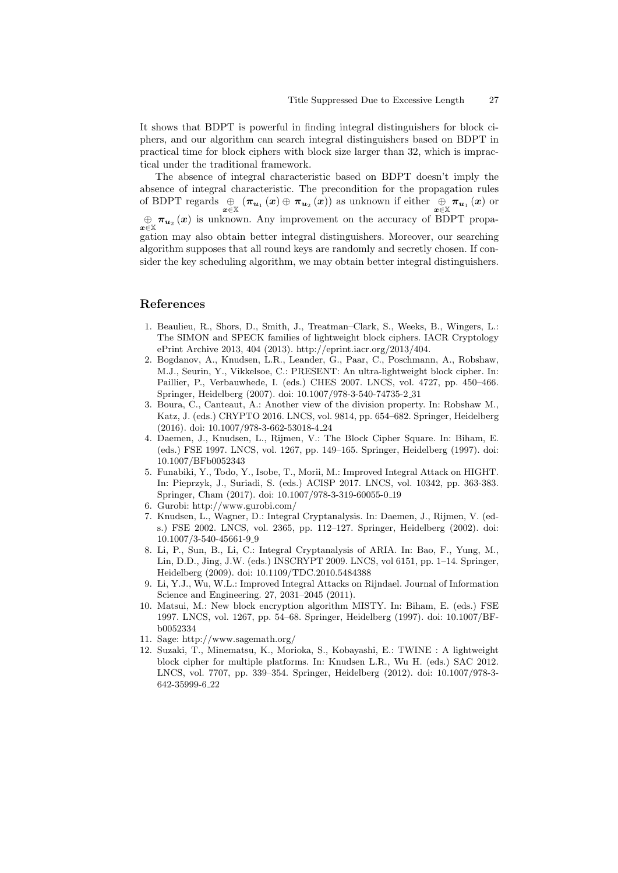It shows that BDPT is powerful in finding integral distinguishers for block ciphers, and our algorithm can search integral distinguishers based on BDPT in practical time for block ciphers with block size larger than 32, which is impractical under the traditional framework.

The absence of integral characteristic based on BDPT doesn't imply the absence of integral characteristic. The precondition for the propagation rules of BDPT regards  $\bigoplus_{x \in \mathbb{X}} (\pi_{u_1}(x) \oplus \pi_{u_2}(x))$  as unknown if either  $\bigoplus_{x \in \mathbb{X}} \pi_{u_1}(x)$  or  $\theta$  *π*<sub>*u*2</sub></sub> (*x*) is unknown. Any improvement on the accuracy of BDPT propagation may also obtain better integral distinguishers. Moreover, our searching algorithm supposes that all round keys are randomly and secretly chosen. If consider the key scheduling algorithm, we may obtain better integral distinguishers.

### **References**

- 1. Beaulieu, R., Shors, D., Smith, J., Treatman–Clark, S., Weeks, B., Wingers, L.: The SIMON and SPECK families of lightweight block ciphers. IACR Cryptology ePrint Archive 2013, 404 (2013). http://eprint.iacr.org/2013/404.
- 2. Bogdanov, A., Knudsen, L.R., Leander, G., Paar, C., Poschmann, A., Robshaw, M.J., Seurin, Y., Vikkelsoe, C.: PRESENT: An ultra-lightweight block cipher. In: Paillier, P., Verbauwhede, I. (eds.) CHES 2007. LNCS, vol. 4727, pp. 450–466. Springer, Heidelberg (2007). doi: 10.1007/978-3-540-74735-2 31
- 3. Boura, C., Canteaut, A.: Another view of the division property. In: Robshaw M., Katz, J. (eds.) CRYPTO 2016. LNCS, vol. 9814, pp. 654–682. Springer, Heidelberg (2016). doi: 10.1007/978-3-662-53018-4 24
- 4. Daemen, J., Knudsen, L., Rijmen, V.: The Block Cipher Square. In: Biham, E. (eds.) FSE 1997. LNCS, vol. 1267, pp. 149–165. Springer, Heidelberg (1997). doi: 10.1007/BFb0052343
- 5. Funabiki, Y., Todo, Y., Isobe, T., Morii, M.: Improved Integral Attack on HIGHT. In: Pieprzyk, J., Suriadi, S. (eds.) ACISP 2017. LNCS, vol. 10342, pp. 363-383. Springer, Cham (2017). doi: 10.1007/978-3-319-60055-0 19
- 6. Gurobi: http://www.gurobi.com/
- 7. Knudsen, L., Wagner, D.: Integral Cryptanalysis. In: Daemen, J., Rijmen, V. (eds.) FSE 2002. LNCS, vol. 2365, pp. 112–127. Springer, Heidelberg (2002). doi: 10.1007/3-540-45661-9 9
- 8. Li, P., Sun, B., Li, C.: Integral Cryptanalysis of ARIA. In: Bao, F., Yung, M., Lin, D.D., Jing, J.W. (eds.) INSCRYPT 2009. LNCS, vol 6151, pp. 1–14. Springer, Heidelberg (2009). doi: 10.1109/TDC.2010.5484388
- 9. Li, Y.J., Wu, W.L.: Improved Integral Attacks on Rijndael. Journal of Information Science and Engineering. 27, 2031–2045 (2011).
- 10. Matsui, M.: New block encryption algorithm MISTY. In: Biham, E. (eds.) FSE 1997. LNCS, vol. 1267, pp. 54–68. Springer, Heidelberg (1997). doi: 10.1007/BFb0052334
- 11. Sage: http://www.sagemath.org/
- 12. Suzaki, T., Minematsu, K., Morioka, S., Kobayashi, E.: TWINE : A lightweight block cipher for multiple platforms. In: Knudsen L.R., Wu H. (eds.) SAC 2012. LNCS, vol. 7707, pp. 339–354. Springer, Heidelberg (2012). doi: 10.1007/978-3- 642-35999-6 22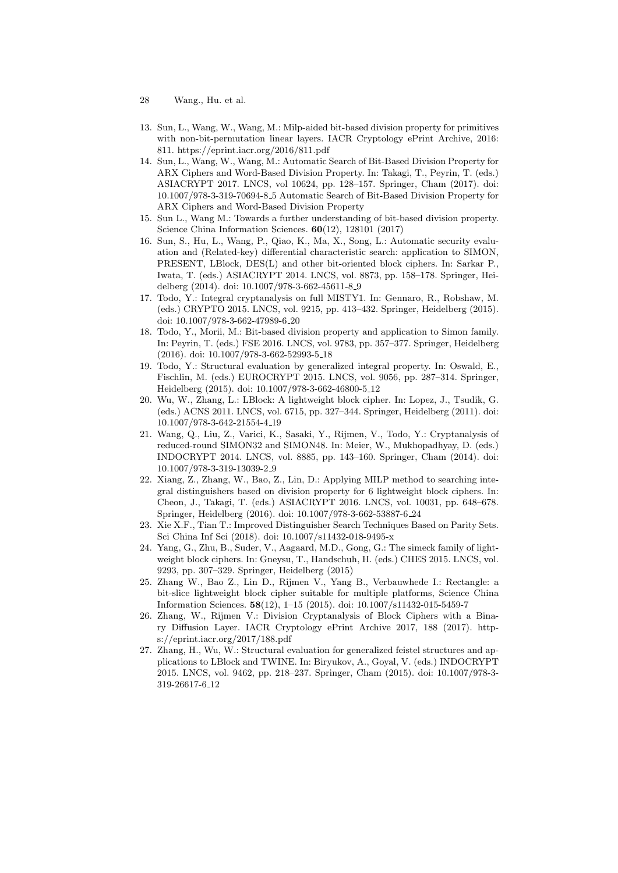- 28 Wang., Hu. et al.
- 13. Sun, L., Wang, W., Wang, M.: Milp-aided bit-based division property for primitives with non-bit-permutation linear layers. IACR Cryptology ePrint Archive, 2016: 811. https://eprint.iacr.org/2016/811.pdf
- 14. Sun, L., Wang, W., Wang, M.: Automatic Search of Bit-Based Division Property for ARX Ciphers and Word-Based Division Property. In: Takagi, T., Peyrin, T. (eds.) ASIACRYPT 2017. LNCS, vol 10624, pp. 128–157. Springer, Cham (2017). doi: 10.1007/978-3-319-70694-8 5 Automatic Search of Bit-Based Division Property for ARX Ciphers and Word-Based Division Property
- 15. Sun L., Wang M.: Towards a further understanding of bit-based division property. Science China Information Sciences. **60**(12), 128101 (2017)
- 16. Sun, S., Hu, L., Wang, P., Qiao, K., Ma, X., Song, L.: Automatic security evaluation and (Related-key) differential characteristic search: application to SIMON, PRESENT, LBlock, DES(L) and other bit-oriented block ciphers. In: Sarkar P., Iwata, T. (eds.) ASIACRYPT 2014. LNCS, vol. 8873, pp. 158–178. Springer, Heidelberg (2014). doi: 10.1007/978-3-662-45611-8 9
- 17. Todo, Y.: Integral cryptanalysis on full MISTY1. In: Gennaro, R., Robshaw, M. (eds.) CRYPTO 2015. LNCS, vol. 9215, pp. 413–432. Springer, Heidelberg (2015). doi: 10.1007/978-3-662-47989-6 20
- 18. Todo, Y., Morii, M.: Bit-based division property and application to Simon family. In: Peyrin, T. (eds.) FSE 2016. LNCS, vol. 9783, pp. 357–377. Springer, Heidelberg (2016). doi: 10.1007/978-3-662-52993-5 18
- 19. Todo, Y.: Structural evaluation by generalized integral property. In: Oswald, E., Fischlin, M. (eds.) EUROCRYPT 2015. LNCS, vol. 9056, pp. 287–314. Springer, Heidelberg (2015). doi: 10.1007/978-3-662-46800-5 12
- 20. Wu, W., Zhang, L.: LBlock: A lightweight block cipher. In: Lopez, J., Tsudik, G. (eds.) ACNS 2011. LNCS, vol. 6715, pp. 327–344. Springer, Heidelberg (2011). doi: 10.1007/978-3-642-21554-4 19
- 21. Wang, Q., Liu, Z., Varici, K., Sasaki, Y., Rijmen, V., Todo, Y.: Cryptanalysis of reduced-round SIMON32 and SIMON48. In: Meier, W., Mukhopadhyay, D. (eds.) INDOCRYPT 2014. LNCS, vol. 8885, pp. 143–160. Springer, Cham (2014). doi: 10.1007/978-3-319-13039-2 9
- 22. Xiang, Z., Zhang, W., Bao, Z., Lin, D.: Applying MILP method to searching integral distinguishers based on division property for 6 lightweight block ciphers. In: Cheon, J., Takagi, T. (eds.) ASIACRYPT 2016. LNCS, vol. 10031, pp. 648–678. Springer, Heidelberg (2016). doi: 10.1007/978-3-662-53887-6 24
- 23. Xie X.F., Tian T.: Improved Distinguisher Search Techniques Based on Parity Sets. Sci China Inf Sci (2018). doi: 10.1007/s11432-018-9495-x
- 24. Yang, G., Zhu, B., Suder, V., Aagaard, M.D., Gong, G.: The simeck family of lightweight block ciphers. In: Gneysu, T., Handschuh, H. (eds.) CHES 2015. LNCS, vol. 9293, pp. 307–329. Springer, Heidelberg (2015)
- 25. Zhang W., Bao Z., Lin D., Rijmen V., Yang B., Verbauwhede I.: Rectangle: a bit-slice lightweight block cipher suitable for multiple platforms, Science China Information Sciences. **58**(12), 1–15 (2015). doi: 10.1007/s11432-015-5459-7
- 26. Zhang, W., Rijmen V.: Division Cryptanalysis of Block Ciphers with a Binary Diffusion Layer. IACR Cryptology ePrint Archive 2017, 188 (2017). https://eprint.iacr.org/2017/188.pdf
- 27. Zhang, H., Wu, W.: Structural evaluation for generalized feistel structures and applications to LBlock and TWINE. In: Biryukov, A., Goyal, V. (eds.) INDOCRYPT 2015. LNCS, vol. 9462, pp. 218–237. Springer, Cham (2015). doi: 10.1007/978-3- 319-26617-6 12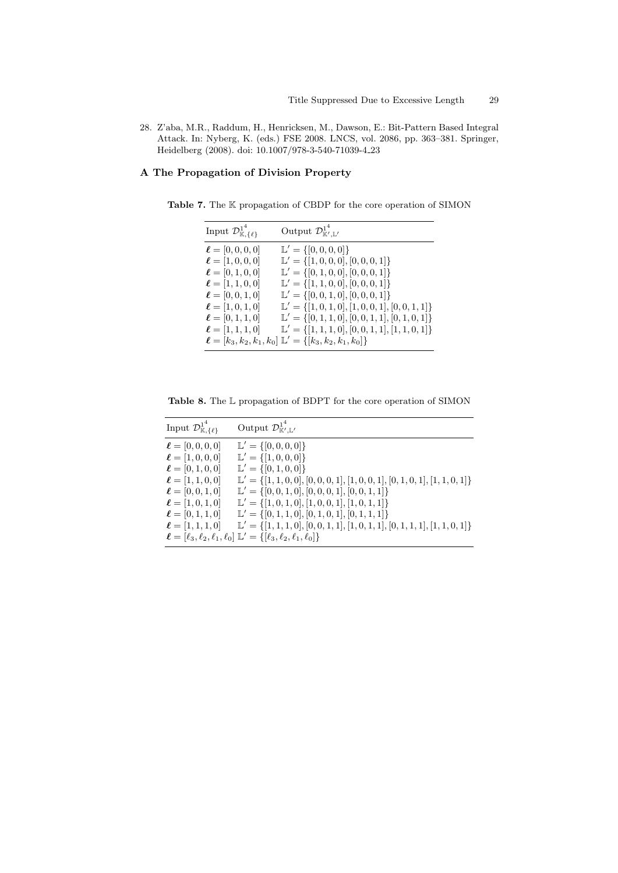28. Z'aba, M.R., Raddum, H., Henricksen, M., Dawson, E.: Bit-Pattern Based Integral Attack. In: Nyberg, K. (eds.) FSE 2008. LNCS, vol. 2086, pp. 363–381. Springer, Heidelberg (2008). doi: 10.1007/978-3-540-71039-4 23

# **A The Propagation of Division Property**

**Table 7.** The K propagation of CBDP for the core operation of SIMON

| Input $\mathcal{D}^{1^4}_{\mathbb{K}, {\{\ell\}}}$                                                                                                 | Output $\mathcal{D}_{\mathbb{K}',\mathbb{L}'}^{1^4}$                                                                                                                                                                                                                                                                 |
|----------------------------------------------------------------------------------------------------------------------------------------------------|----------------------------------------------------------------------------------------------------------------------------------------------------------------------------------------------------------------------------------------------------------------------------------------------------------------------|
| $\ell = [0, 0, 0, 0]$<br>$\ell = [1, 0, 0, 0]$<br>$\ell = [0, 1, 0, 0]$<br>$\ell = [1, 1, 0, 0]$<br>$\ell = [0, 0, 1, 0]$<br>$\ell = [1, 0, 1, 0]$ | $\mathbb{L}' = \{ [0, 0, 0, 0] \}$<br>$\mathbb{L}' = \{ [1, 0, 0, 0], [0, 0, 0, 1] \}$<br>$\mathbb{L}' = \{ [0, 1, 0, 0], [0, 0, 0, 1] \}$<br>$\mathbb{L}' = \{ [1, 1, 0, 0], [0, 0, 0, 1] \}$<br>$\mathbb{L}' = \{ [0, 0, 1, 0], [0, 0, 0, 1] \}$<br>$\mathbb{L}' = \{ [1, 0, 1, 0], [1, 0, 0, 1], [0, 0, 1, 1] \}$ |
| $\ell = [0, 1, 1, 0]$<br>$\ell = [1, 1, 1, 0]$                                                                                                     | $\mathbb{L}' = \{ [0, 1, 1, 0], [0, 0, 1, 1], [0, 1, 0, 1] \}$<br>$\mathbb{L}' = \{ [1, 1, 1, 0], [0, 0, 1, 1], [1, 1, 0, 1] \}$<br>$\ell = [k_3, k_2, k_1, k_0] \mathbb{L}' = \{ [k_3, k_2, k_1, k_0] \}$                                                                                                           |

**Table 8.** The L propagation of BDPT for the core operation of SIMON

| Input $\mathcal{D}^{1^4}_{\mathbb{K}, {\{\ell\}}}$ | Output $\mathcal{D}_{\mathbb{K}',\mathbb{L}'}^{1^4}$                                       |
|----------------------------------------------------|--------------------------------------------------------------------------------------------|
| $\ell = [0, 0, 0, 0]$                              | $\mathbb{L}' = \{ [0, 0, 0, 0] \}$                                                         |
| $\ell = [1, 0, 0, 0]$                              | $\mathbb{L}' = \{ [1, 0, 0, 0] \}$                                                         |
| $\ell = [0, 1, 0, 0]$                              | $\mathbb{L}' = \{ [0, 1, 0, 0] \}$                                                         |
| $\ell = [1, 1, 0, 0]$                              | $\mathbb{L}' = \{ [1, 1, 0, 0], [0, 0, 0, 1], [1, 0, 0, 1], [0, 1, 0, 1], [1, 1, 0, 1] \}$ |
| $\ell = [0, 0, 1, 0]$                              | $\mathbb{L}' = \{ [0, 0, 1, 0], [0, 0, 0, 1], [0, 0, 1, 1] \}$                             |
| $\ell = [1, 0, 1, 0]$                              | $\mathbb{L}' = \{ [1, 0, 1, 0], [1, 0, 0, 1], [1, 0, 1, 1] \}$                             |
| $\ell = [0, 1, 1, 0]$                              | $\mathbb{L}' = \{ [0, 1, 1, 0], [0, 1, 0, 1], [0, 1, 1, 1] \}$                             |
| $\ell = [1, 1, 1, 0]$                              | $\mathbb{L}' = \{ [1, 1, 1, 0], [0, 0, 1, 1], [1, 0, 1, 1], [0, 1, 1, 1], [1, 1, 0, 1] \}$ |
|                                                    | $\ell = [\ell_3, \ell_2, \ell_1, \ell_0] \mathbb{L}' = {\ell_3, \ell_2, \ell_1, \ell_0}$   |